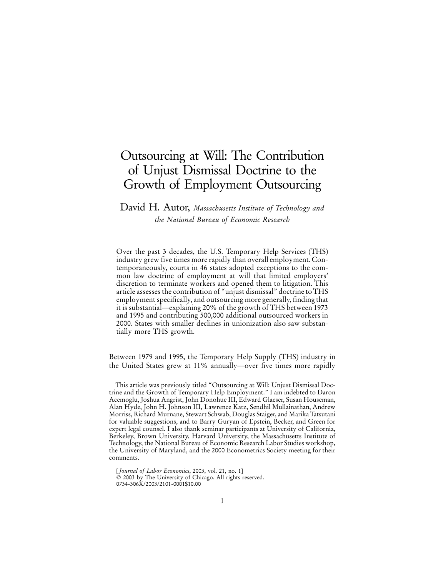# Outsourcing at Will: The Contribution of Unjust Dismissal Doctrine to the Growth of Employment Outsourcing

### David H. Autor, *Massachusetts Institute of Technology and the National Bureau of Economic Research*

Over the past 3 decades, the U.S. Temporary Help Services (THS) industry grew five times more rapidly than overall employment. Contemporaneously, courts in 46 states adopted exceptions to the common law doctrine of employment at will that limited employers' discretion to terminate workers and opened them to litigation. This article assesses the contribution of "unjust dismissal" doctrine to THS employment specifically, and outsourcing more generally, finding that it is substantial—explaining 20% of the growth of THS between 1973 and 1995 and contributing 500,000 additional outsourced workers in 2000. States with smaller declines in unionization also saw substantially more THS growth.

Between 1979 and 1995, the Temporary Help Supply (THS) industry in the United States grew at 11% annually—over five times more rapidly

This article was previously titled "Outsourcing at Will: Unjust Dismissal Doctrine and the Growth of Temporary Help Employment." I am indebted to Daron Acemoglu, Joshua Angrist, John Donohue III, Edward Glaeser, Susan Houseman, Alan Hyde, John H. Johnson III, Lawrence Katz, Sendhil Mullainathan, Andrew Morriss, Richard Murnane, Stewart Schwab, Douglas Staiger, and Marika Tatsutani for valuable suggestions, and to Barry Guryan of Epstein, Becker, and Green for expert legal counsel. I also thank seminar participants at University of California, Berkeley, Brown University, Harvard University, the Massachusetts Institute of Technology, the National Bureau of Economic Research Labor Studies workshop, the University of Maryland, and the 2000 Econometrics Society meeting for their comments.

[*Journal of Labor Economics*, 2003, vol. 21, no. 1]

2003 by The University of Chicago. All rights reserved.

0734-306X/2003/2101-0001\$10.00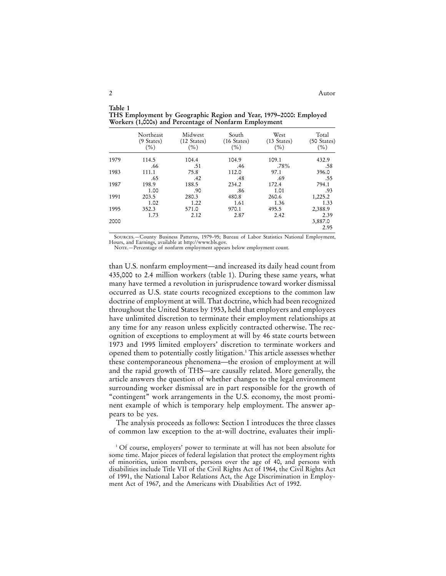|      | Northeast<br>(9 States)<br>$(\%)$ | Midwest<br>$(12 \text{ States})$<br>(%) | South<br>$(16 \text{ States})$<br>$(\%)$ | West<br>$(13 \text{ States})$<br>$(\%)$ | Total<br>(50 States)<br>$(\%)$ |
|------|-----------------------------------|-----------------------------------------|------------------------------------------|-----------------------------------------|--------------------------------|
| 1979 | 114.5                             | 104.4                                   | 104.9                                    | 109.1                                   | 432.9                          |
|      | .66                               | .51                                     | .46                                      | .78%                                    | .58                            |
| 1983 | 111.1                             | 75.8                                    | 112.0                                    | 97.1                                    | 396.0                          |
|      | .65                               | .42                                     | .48                                      | .69                                     | .55                            |
| 1987 | 198.9                             | 188.5                                   | 234.2                                    | 172.4                                   | 794.1                          |
|      | 1.00                              | .90                                     | .86                                      | 1.01                                    | .93                            |
| 1991 | 203.5                             | 280.3                                   | 480.8                                    | 260.6                                   | 1,225.2                        |
|      | 1.02                              | 1.22                                    | 1.61                                     | 1.36                                    | 1.33                           |
| 1995 | 352.3                             | 571.0                                   | 970.1                                    | 495.5                                   | 2,388.9                        |
|      | 1.73                              | 2.12                                    | 2.87                                     | 2.42                                    | 2.39                           |
| 2000 |                                   |                                         |                                          |                                         | 3,887.0                        |
|      |                                   |                                         |                                          |                                         | 2.95                           |

**Table 1 THS Employment by Geographic Region and Year, 1979–2000: Employed Workers (1,000s) and Percentage of Nonfarm Employment**

Sources.—County Business Patterns, 1979–95; Bureau of Labor Statistics National Employment, Hours, and Earnings, available at http://www.bls.gov.

NOTE.—Percentage of nonfarm employment appears below employment count.

than U.S. nonfarm employment—and increased its daily head count from 435,000 to 2.4 million workers (table 1). During these same years, what many have termed a revolution in jurisprudence toward worker dismissal occurred as U.S. state courts recognized exceptions to the common law doctrine of employment at will. That doctrine, which had been recognized throughout the United States by 1953, held that employers and employees have unlimited discretion to terminate their employment relationships at any time for any reason unless explicitly contracted otherwise. The recognition of exceptions to employment at will by 46 state courts between 1973 and 1995 limited employers' discretion to terminate workers and opened them to potentially costly litigation.1 This article assesses whether these contemporaneous phenomena—the erosion of employment at will and the rapid growth of THS—are causally related. More generally, the article answers the question of whether changes to the legal environment surrounding worker dismissal are in part responsible for the growth of "contingent" work arrangements in the U.S. economy, the most prominent example of which is temporary help employment. The answer appears to be yes.

The analysis proceeds as follows: Section I introduces the three classes of common law exception to the at-will doctrine, evaluates their impli-

<sup>&</sup>lt;sup>1</sup> Of course, employers' power to terminate at will has not been absolute for some time. Major pieces of federal legislation that protect the employment rights of minorities, union members, persons over the age of 40, and persons with disabilities include Title VII of the Civil Rights Act of 1964, the Civil Rights Act of 1991, the National Labor Relations Act, the Age Discrimination in Employment Act of 1967, and the Americans with Disabilities Act of 1992.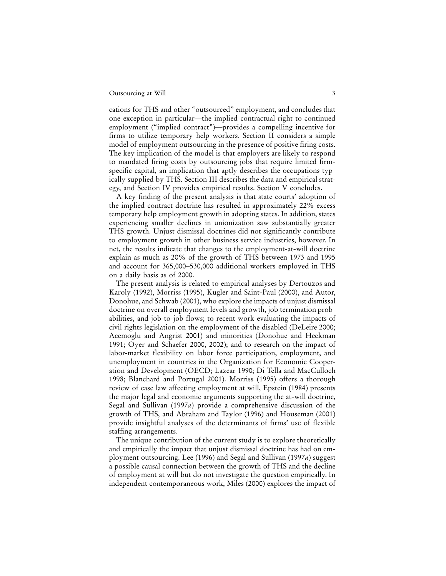cations for THS and other "outsourced" employment, and concludes that one exception in particular—the implied contractual right to continued employment ("implied contract")—provides a compelling incentive for firms to utilize temporary help workers. Section II considers a simple model of employment outsourcing in the presence of positive firing costs. The key implication of the model is that employers are likely to respond to mandated firing costs by outsourcing jobs that require limited firmspecific capital, an implication that aptly describes the occupations typically supplied by THS. Section III describes the data and empirical strategy, and Section IV provides empirical results. Section V concludes.

A key finding of the present analysis is that state courts' adoption of the implied contract doctrine has resulted in approximately 22% excess temporary help employment growth in adopting states. In addition, states experiencing smaller declines in unionization saw substantially greater THS growth. Unjust dismissal doctrines did not significantly contribute to employment growth in other business service industries, however. In net, the results indicate that changes to the employment-at-will doctrine explain as much as 20% of the growth of THS between 1973 and 1995 and account for 365,000–530,000 additional workers employed in THS on a daily basis as of 2000.

The present analysis is related to empirical analyses by Dertouzos and Karoly (1992), Morriss (1995), Kugler and Saint-Paul (2000), and Autor, Donohue, and Schwab (2001), who explore the impacts of unjust dismissal doctrine on overall employment levels and growth, job termination probabilities, and job-to-job flows; to recent work evaluating the impacts of civil rights legislation on the employment of the disabled (DeLeire 2000; Acemoglu and Angrist 2001) and minorities (Donohue and Heckman 1991; Oyer and Schaefer 2000, 2002); and to research on the impact of labor-market flexibility on labor force participation, employment, and unemployment in countries in the Organization for Economic Cooperation and Development (OECD; Lazear 1990; Di Tella and MacCulloch 1998; Blanchard and Portugal 2001). Morriss (1995) offers a thorough review of case law affecting employment at will, Epstein (1984) presents the major legal and economic arguments supporting the at-will doctrine, Segal and Sullivan (1997*a*) provide a comprehensive discussion of the growth of THS, and Abraham and Taylor (1996) and Houseman (2001) provide insightful analyses of the determinants of firms' use of flexible staffing arrangements.

The unique contribution of the current study is to explore theoretically and empirically the impact that unjust dismissal doctrine has had on employment outsourcing. Lee (1996) and Segal and Sullivan (1997*a*) suggest a possible causal connection between the growth of THS and the decline of employment at will but do not investigate the question empirically. In independent contemporaneous work, Miles (2000) explores the impact of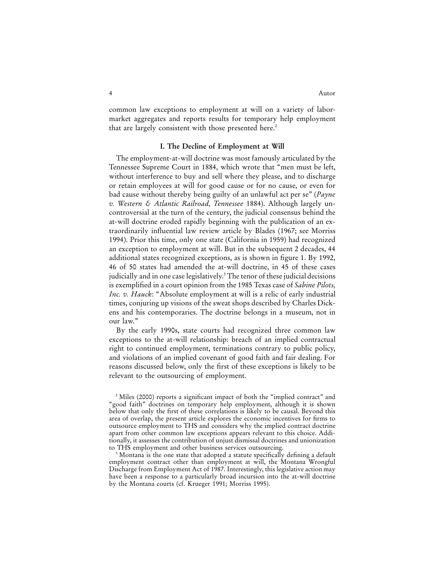common law exceptions to employment at will on a variety of labormarket aggregates and reports results for temporary help employment that are largely consistent with those presented here.<sup>2</sup>

#### **I. The Decline of Employment at Will**

The employment-at-will doctrine was most famously articulated by the Tennessee Supreme Court in 1884, which wrote that "men must be left, without interference to buy and sell where they please, and to discharge or retain employees at will for good cause or for no cause, or even for bad cause without thereby being guilty of an unlawful act per se" (*Payne v. Western & Atlantic Railroad, Tennessee* 1884). Although largely uncontroversial at the turn of the century, the judicial consensus behind the at-will doctrine eroded rapidly beginning with the publication of an extraordinarily influential law review article by Blades (1967; see Morriss 1994). Prior this time, only one state (California in 1959) had recognized an exception to employment at will. But in the subsequent 2 decades, 44 additional states recognized exceptions, as is shown in figure 1. By 1992, 46 of 50 states had amended the at-will doctrine, in 45 of these cases judicially and in one case legislatively.<sup>3</sup> The tenor of these judicial decisions is exemplified in a court opinion from the 1985 Texas case of *Sabine Pilots, Inc. v. Hauck*: "Absolute employment at will is a relic of early industrial times, conjuring up visions of the sweat shops described by Charles Dickens and his contemporaries. The doctrine belongs in a museum, not in our law."

By the early 1990s, state courts had recognized three common law exceptions to the at-will relationship: breach of an implied contractual right to continued employment, terminations contrary to public policy, and violations of an implied covenant of good faith and fair dealing. For reasons discussed below, only the first of these exceptions is likely to be relevant to the outsourcing of employment.

<sup>2</sup> Miles (2000) reports a significant impact of both the "implied contract" and "good faith" doctrines on temporary help employment, although it is shown below that only the first of these correlations is likely to be causal. Beyond this area of overlap, the present article explores the economic incentives for firms to outsource employment to THS and considers why the implied contract doctrine apart from other common law exceptions appears relevant to this choice. Additionally, it assesses the contribution of unjust dismissal doctrines and unionization to THS employment and other business services outsourcing.

<sup>&</sup>lt;sup>3</sup> Montana is the one state that adopted a statute specifically defining a default employment contract other than employment at will, the Montana Wrongful Discharge from Employment Act of 1987. Interestingly, this legislative action may have been a response to a particularly broad incursion into the at-will doctrine by the Montana courts (cf. Krueger 1991; Morriss 1995).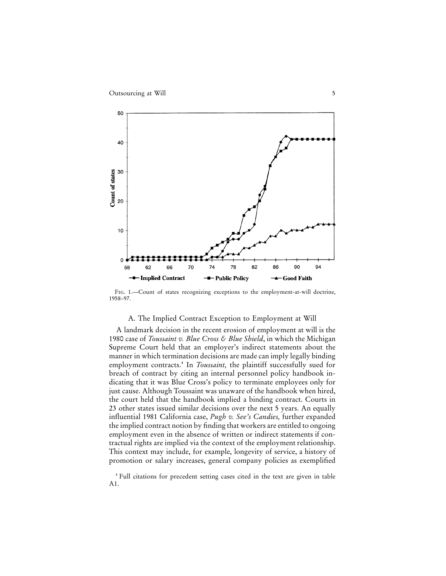

FIG. 1.—Count of states recognizing exceptions to the employment-at-will doctrine, 1958–97.

#### A. The Implied Contract Exception to Employment at Will

A landmark decision in the recent erosion of employment at will is the 1980 case of *Toussaint v. Blue Cross & Blue Shield*, in which the Michigan Supreme Court held that an employer's indirect statements about the manner in which termination decisions are made can imply legally binding employment contracts.<sup>4</sup> In *Toussaint*, the plaintiff successfully sued for breach of contract by citing an internal personnel policy handbook indicating that it was Blue Cross's policy to terminate employees only for just cause. Although Toussaint was unaware of the handbook when hired, the court held that the handbook implied a binding contract. Courts in 23 other states issued similar decisions over the next 5 years. An equally influential 1981 California case, *Pugh v. See's Candies,* further expanded the implied contract notion by finding that workers are entitled to ongoing employment even in the absence of written or indirect statements if contractual rights are implied via the context of the employment relationship. This context may include, for example, longevity of service, a history of promotion or salary increases, general company policies as exemplified

<sup>4</sup> Full citations for precedent setting cases cited in the text are given in table A1.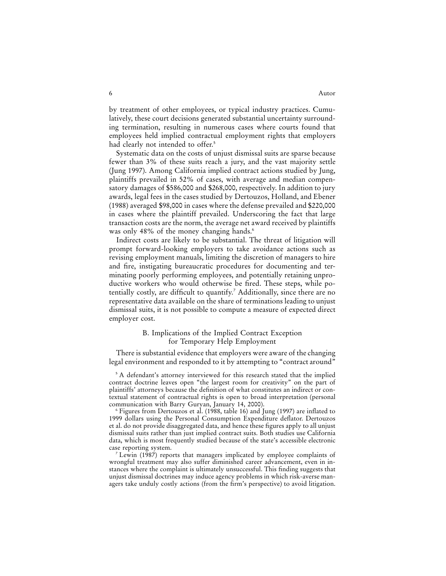#### 6 Autor Autor Autor Autor Autor Autor Autor Autor Autor Autor Autor Autor Autor Autor Autor Autor Autor Autor Autor Autor Autor Autor Autor Autor Autor Autor Autor Autor Autor Autor Autor Autor Autor Autor Autor Autor Auto

by treatment of other employees, or typical industry practices. Cumulatively, these court decisions generated substantial uncertainty surrounding termination, resulting in numerous cases where courts found that employees held implied contractual employment rights that employers had clearly not intended to offer.<sup>5</sup>

Systematic data on the costs of unjust dismissal suits are sparse because fewer than 3% of these suits reach a jury, and the vast majority settle (Jung 1997). Among California implied contract actions studied by Jung, plaintiffs prevailed in 52% of cases, with average and median compensatory damages of \$586,000 and \$268,000, respectively. In addition to jury awards, legal fees in the cases studied by Dertouzos, Holland, and Ebener (1988) averaged \$98,000 in cases where the defense prevailed and \$220,000 in cases where the plaintiff prevailed. Underscoring the fact that large transaction costs are the norm, the average net award received by plaintiffs was only 48% of the money changing hands.<sup>6</sup>

Indirect costs are likely to be substantial. The threat of litigation will prompt forward-looking employers to take avoidance actions such as revising employment manuals, limiting the discretion of managers to hire and fire, instigating bureaucratic procedures for documenting and terminating poorly performing employees, and potentially retaining unproductive workers who would otherwise be fired. These steps, while potentially costly, are difficult to quantify.<sup>7</sup> Additionally, since there are no representative data available on the share of terminations leading to unjust dismissal suits, it is not possible to compute a measure of expected direct employer cost.

#### B. Implications of the Implied Contract Exception for Temporary Help Employment

There is substantial evidence that employers were aware of the changing legal environment and responded to it by attempting to "contract around"

<sup>5</sup> A defendant's attorney interviewed for this research stated that the implied contract doctrine leaves open "the largest room for creativity" on the part of plaintiffs' attorneys because the definition of what constitutes an indirect or contextual statement of contractual rights is open to broad interpretation (personal communication with Barry Guryan, January 14, 2000).

<sup>6</sup> Figures from Dertouzos et al. (1988, table 16) and Jung (1997) are inflated to 1999 dollars using the Personal Consumption Expenditure deflator. Dertouzos et al. do not provide disaggregated data, and hence these figures apply to all unjust dismissal suits rather than just implied contract suits. Both studies use California data, which is most frequently studied because of the state's accessible electronic case reporting system.

Lewin (1987) reports that managers implicated by employee complaints of wrongful treatment may also suffer diminished career advancement, even in instances where the complaint is ultimately unsuccessful. This finding suggests that unjust dismissal doctrines may induce agency problems in which risk-averse managers take unduly costly actions (from the firm's perspective) to avoid litigation.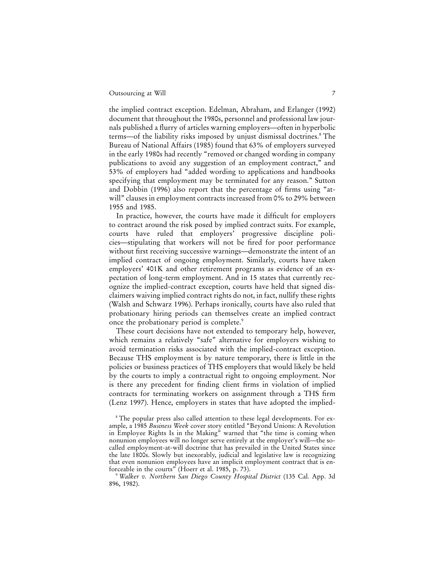the implied contract exception. Edelman, Abraham, and Erlanger (1992) document that throughout the 1980s, personnel and professional law journals published a flurry of articles warning employers—often in hyperbolic terms—of the liability risks imposed by unjust dismissal doctrines.<sup>8</sup> The Bureau of National Affairs (1985) found that 63% of employers surveyed in the early 1980s had recently "removed or changed wording in company publications to avoid any suggestion of an employment contract," and 53% of employers had "added wording to applications and handbooks specifying that employment may be terminated for any reason." Sutton and Dobbin (1996) also report that the percentage of firms using "atwill" clauses in employment contracts increased from 0% to 29% between 1955 and 1985.

In practice, however, the courts have made it difficult for employers to contract around the risk posed by implied contract suits. For example, courts have ruled that employers' progressive discipline policies—stipulating that workers will not be fired for poor performance without first receiving successive warnings—demonstrate the intent of an implied contract of ongoing employment. Similarly, courts have taken employers' 401K and other retirement programs as evidence of an expectation of long-term employment. And in 15 states that currently recognize the implied-contract exception, courts have held that signed disclaimers waiving implied contract rights do not, in fact, nullify these rights (Walsh and Schwarz 1996). Perhaps ironically, courts have also ruled that probationary hiring periods can themselves create an implied contract once the probationary period is complete.<sup>9</sup>

These court decisions have not extended to temporary help, however, which remains a relatively "safe" alternative for employers wishing to avoid termination risks associated with the implied-contract exception. Because THS employment is by nature temporary, there is little in the policies or business practices of THS employers that would likely be held by the courts to imply a contractual right to ongoing employment. Nor is there any precedent for finding client firms in violation of implied contracts for terminating workers on assignment through a THS firm (Lenz 1997). Hence, employers in states that have adopted the implied-

<sup>&</sup>lt;sup>8</sup> The popular press also called attention to these legal developments. For example, a 1985 *Business Week* cover story entitled "Beyond Unions: A Revolution in Employee Rights Is in the Making" warned that "the time is coming when nonunion employees will no longer serve entirely at the employer's will—the socalled employment-at-will doctrine that has prevailed in the United States since the late 1800s. Slowly but inexorably, judicial and legislative law is recognizing that even nonunion employees have an implicit employment contract that is enforceable in the courts" (Hoerr et al. 1985, p. 73).

<sup>9</sup> *Walker v. Northern San Diego County Hospital District* (135 Cal. App. 3d 896, 1982).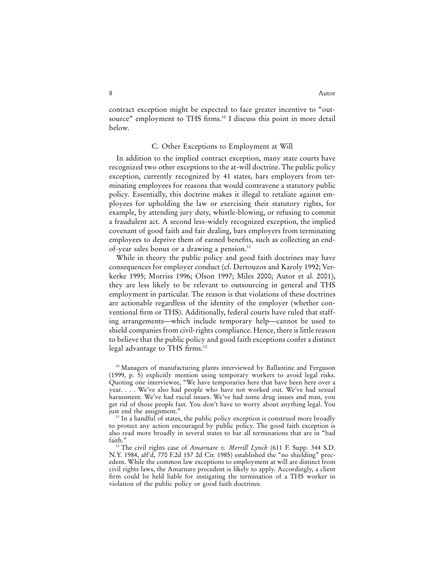contract exception might be expected to face greater incentive to "outsource" employment to THS firms.<sup>10</sup> I discuss this point in more detail below.

#### C. Other Exceptions to Employment at Will

In addition to the implied contract exception, many state courts have recognized two other exceptions to the at-will doctrine. The public policy exception, currently recognized by 41 states, bars employers from terminating employees for reasons that would contravene a statutory public policy. Essentially, this doctrine makes it illegal to retaliate against employees for upholding the law or exercising their statutory rights, for example, by attending jury duty, whistle-blowing, or refusing to commit a fraudulent act. A second less-widely recognized exception, the implied covenant of good faith and fair dealing, bars employers from terminating employees to deprive them of earned benefits, such as collecting an endof-year sales bonus or a drawing a pension.<sup>11</sup>

While in theory the public policy and good faith doctrines may have consequences for employer conduct (cf. Dertouzos and Karoly 1992; Verkerke 1995; Morriss 1996; Olson 1997; Miles 2000; Autor et al. 2001), they are less likely to be relevant to outsourcing in general and THS employment in particular. The reason is that violations of these doctrines are actionable regardless of the identity of the employer (whether conventional firm or THS). Additionally, federal courts have ruled that staffing arrangements—which include temporary help—cannot be used to shield companies from civil-rights compliance. Hence, there is little reason to believe that the public policy and good faith exceptions confer a distinct legal advantage to THS firms.<sup>12</sup>

<sup>&</sup>lt;sup>10</sup> Managers of manufacturing plants interviewed by Ballantine and Ferguson (1999, p. 5) explicitly mention using temporary workers to avoid legal risks. Quoting one interviewee, "We have temporaries here that have been here over a year. . . . We've also had people who have not worked out. We've had sexual harassment. We've had racial issues. We've had some drug issues and man, you get rid of those people fast. You don't have to worry about anything legal. You just end the assignment."

 $11$  In a handful of states, the public policy exception is construed more broadly to protect any action encouraged by public policy. The good faith exception is also read more broadly in several states to bar all terminations that are in "bad faith."

<sup>12</sup> The civil rights case of *Amarnare v. Merrill Lynch* (611 F. Supp. 344 S.D. N.Y. 1984, aff'd, 770 F.2d 157 2d Cir. 1985) established the "no shielding" precedent. While the common law exceptions to employment at will are distinct from civil rights laws, the Amarnare precedent is likely to apply. Accordingly, a client firm could be held liable for instigating the termination of a THS worker in violation of the public policy or good faith doctrines.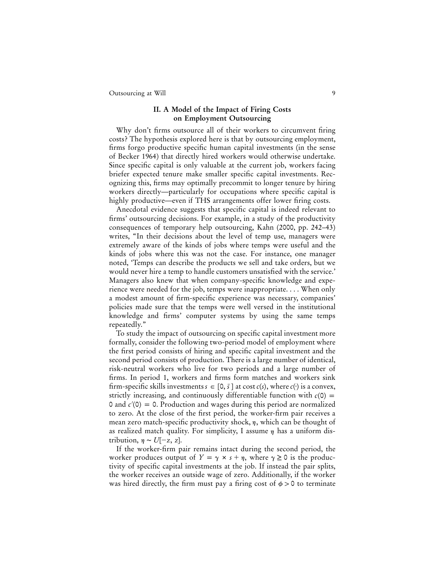#### **II. A Model of the Impact of Firing Costs on Employment Outsourcing**

Why don't firms outsource all of their workers to circumvent firing costs? The hypothesis explored here is that by outsourcing employment, firms forgo productive specific human capital investments (in the sense of Becker 1964) that directly hired workers would otherwise undertake. Since specific capital is only valuable at the current job, workers facing briefer expected tenure make smaller specific capital investments. Recognizing this, firms may optimally precommit to longer tenure by hiring workers directly—particularly for occupations where specific capital is highly productive—even if THS arrangements offer lower firing costs.

Anecdotal evidence suggests that specific capital is indeed relevant to firms' outsourcing decisions. For example, in a study of the productivity consequences of temporary help outsourcing, Kahn (2000, pp. 242–43) writes, "In their decisions about the level of temp use, managers were extremely aware of the kinds of jobs where temps were useful and the kinds of jobs where this was not the case. For instance, one manager noted, 'Temps can describe the products we sell and take orders, but we would never hire a temp to handle customers unsatisfied with the service.' Managers also knew that when company-specific knowledge and experience were needed for the job, temps were inappropriate.... When only a modest amount of firm-specific experience was necessary, companies' policies made sure that the temps were well versed in the institutional knowledge and firms' computer systems by using the same temps repeatedly."

To study the impact of outsourcing on specific capital investment more formally, consider the following two-period model of employment where the first period consists of hiring and specific capital investment and the second period consists of production. There is a large number of identical, risk-neutral workers who live for two periods and a large number of firms. In period 1, workers and firms form matches and workers sink firm-specific skills investments  $s \in [0, \bar{s}]$  at cost  $c(s)$ , where  $c(\cdot)$  is a convex, strictly increasing, and continuously differentiable function with  $c(0)$  = 0 and  $c'(0) = 0$ . Production and wages during this period are normalized to zero. At the close of the first period, the worker-firm pair receives a mean zero match-specific productivity shock,  $\eta$ , which can be thought of as realized match quality. For simplicity, I assume  $\eta$  has a uniform distribution,  $n \sim U[-z, z]$ .

If the worker-firm pair remains intact during the second period, the worker produces output of  $Y = \gamma \times s + \eta$ , where  $\gamma \ge 0$  is the productivity of specific capital investments at the job. If instead the pair splits, the worker receives an outside wage of zero. Additionally, if the worker was hired directly, the firm must pay a firing cost of  $\phi > 0$  to terminate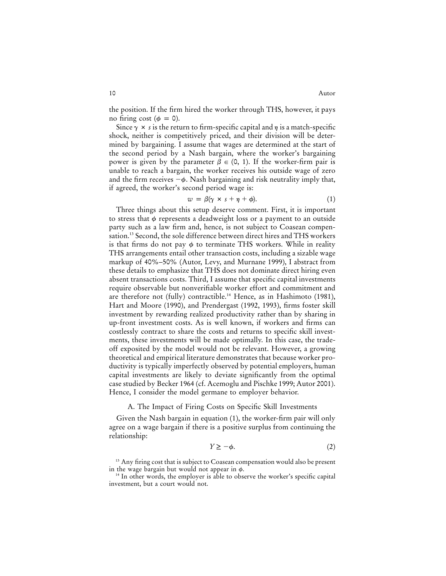the position. If the firm hired the worker through THS, however, it pays no firing cost ( $\phi = 0$ ).

Since  $\gamma \times s$  is the return to firm-specific capital and  $\eta$  is a match-specific shock, neither is competitively priced, and their division will be determined by bargaining. I assume that wages are determined at the start of the second period by a Nash bargain, where the worker's bargaining power is given by the parameter  $\beta \in (0, 1)$ . If the worker-firm pair is unable to reach a bargain, the worker receives his outside wage of zero and the firm receives  $-\phi$ . Nash bargaining and risk neutrality imply that, if agreed, the worker's second period wage is:

$$
w = \beta(\gamma \times s + \eta + \phi). \tag{1}
$$

Three things about this setup deserve comment. First, it is important to stress that  $\phi$  represents a deadweight loss or a payment to an outside party such as a law firm and, hence, is not subject to Coasean compensation.13 Second, the sole difference between direct hires and THS workers is that firms do not pay  $\phi$  to terminate THS workers. While in reality THS arrangements entail other transaction costs, including a sizable wage markup of 40%–50% (Autor, Levy, and Murnane 1999), I abstract from these details to emphasize that THS does not dominate direct hiring even absent transactions costs. Third, I assume that specific capital investments require observable but nonverifiable worker effort and commitment and are therefore not (fully) contractible.<sup>14</sup> Hence, as in Hashimoto (1981), Hart and Moore (1990), and Prendergast (1992, 1993), firms foster skill investment by rewarding realized productivity rather than by sharing in up-front investment costs. As is well known, if workers and firms can costlessly contract to share the costs and returns to specific skill investments, these investments will be made optimally. In this case, the tradeoff exposited by the model would not be relevant. However, a growing theoretical and empirical literature demonstrates that because worker productivity is typically imperfectly observed by potential employers, human capital investments are likely to deviate significantly from the optimal case studied by Becker 1964 (cf. Acemoglu and Pischke 1999; Autor 2001). Hence, I consider the model germane to employer behavior.

#### A. The Impact of Firing Costs on Specific Skill Investments

Given the Nash bargain in equation (1), the worker-firm pair will only agree on a wage bargain if there is a positive surplus from continuing the relationship:

$$
Y \ge -\phi. \tag{2}
$$

<sup>13</sup> Any firing cost that is subject to Coasean compensation would also be present in the wage bargain but would not appear in  $\phi$ .<br><sup>14</sup> In other words, the employer is able to observe the worker's specific capital

investment, but a court would not.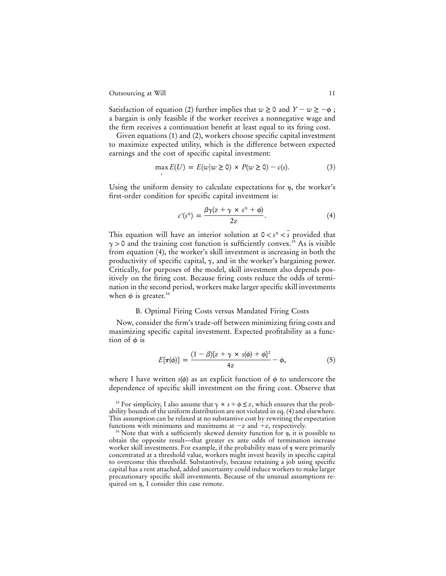Satisfaction of equation (2) further implies that  $w \ge 0$  and  $Y - w \ge -\phi$ ; a bargain is only feasible if the worker receives a nonnegative wage and the firm receives a continuation benefit at least equal to its firing cost.

Given equations (1) and (2), workers choose specific capital investment to maximize expected utility, which is the difference between expected earnings and the cost of specific capital investment:

$$
\max_{s} E(U) = E(w|w \ge 0) \times P(w \ge 0) - c(s). \tag{3}
$$

Using the uniform density to calculate expectations for  $\eta$ , the worker's first-order condition for specific capital investment is:

$$
c'(s^*) = \frac{\beta \gamma (z + \gamma \times s^* + \phi)}{2z}.
$$
 (4)

This equation will have an interior solution at  $0 < s^* < s$  provided that  $\gamma$  > 0 and the training cost function is sufficiently convex.<sup>15</sup> As is visible from equation (4), the worker's skill investment is increasing in both the productivity of specific capital,  $\gamma$ , and in the worker's bargaining power. Critically, for purposes of the model, skill investment also depends positively on the firing cost. Because firing costs reduce the odds of termination in the second period, workers make larger specific skill investments when  $\phi$  is greater.<sup>16</sup>

#### B. Optimal Firing Costs versus Mandated Firing Costs

Now, consider the firm's trade-off between minimizing firing costs and maximizing specific capital investment. Expected profitability as a function of  $\phi$  is

$$
E[\pi(\phi)] = \frac{(1-\beta)[z+\gamma \times s(\phi)+\phi]^2}{4z} - \phi, \qquad (5)
$$

where I have written  $s(\phi)$  as an explicit function of  $\phi$  to underscore the dependence of specific skill investment on the firing cost. Observe that

<sup>&</sup>lt;sup>15</sup> For simplicity, I also assume that  $\gamma \times s + \phi \leq z$ , which ensures that the probability bounds of the uniform distribution are not violated in eq. (4) and elsewhere. This assumption can be relaxed at no substantive cost by rewriting the expectation functions with minimums and maximums at  $-z$  and  $+z$ , respectively.

<sup>&</sup>lt;sup>16</sup> Note that with a sufficiently skewed density function for  $\eta$ , it is possible to obtain the opposite result—that greater ex ante odds of termination increase worker skill investments. For example, if the probability mass of  $\eta$  were primarily concentrated at a threshold value, workers might invest heavily in specific capital to overcome this threshold. Substantively, because retaining a job using specific capital has a rent attached, added uncertainty could induce workers to make larger precautionary specific skill investments. Because of the unusual assumptions required on  $\eta$ , I consider this case remote.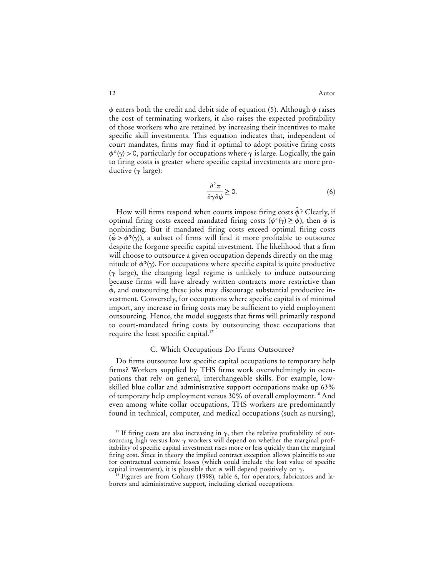$\phi$  enters both the credit and debit side of equation (5). Although  $\phi$  raises the cost of terminating workers, it also raises the expected profitability of those workers who are retained by increasing their incentives to make specific skill investments. This equation indicates that, independent of court mandates, firms may find it optimal to adopt positive firing costs  $\phi^*(\gamma) > 0$ , particularly for occupations where  $\gamma$  is large. Logically, the gain to firing costs is greater where specific capital investments are more productive  $(\gamma \text{ large})$ :

$$
\frac{\partial^2 \pi}{\partial \gamma \partial \phi} \ge 0.
$$
 (6)

How will firms respond when courts impose firing costs  $\tilde{\phi}$ ? Clearly, if optimal firing costs exceed mandated firing costs ( $\phi^*(\gamma) \ge \phi$ ), then  $\phi$  is nonbinding. But if mandated firing costs exceed optimal firing costs  $(\tilde{\phi} > \phi^*(\gamma))$ , a subset of firms will find it more profitable to outsource despite the forgone specific capital investment. The likelihood that a firm will choose to outsource a given occupation depends directly on the magnitude of  $\phi^*(\gamma)$ . For occupations where specific capital is quite productive  $(\gamma$  large), the changing legal regime is unlikely to induce outsourcing because firms will have already written contracts more restrictive than  $\tilde{\phi}$ , and outsourcing these jobs may discourage substantial productive investment. Conversely, for occupations where specific capital is of minimal import, any increase in firing costs may be sufficient to yield employment outsourcing. Hence, the model suggests that firms will primarily respond to court-mandated firing costs by outsourcing those occupations that require the least specific capital.<sup>17</sup>

#### C. Which Occupations Do Firms Outsource?

Do firms outsource low specific capital occupations to temporary help firms? Workers supplied by THS firms work overwhelmingly in occupations that rely on general, interchangeable skills. For example, lowskilled blue collar and administrative support occupations make up 63% of temporary help employment versus 30% of overall employment.<sup>18</sup> And even among white-collar occupations, THS workers are predominantly found in technical, computer, and medical occupations (such as nursing),

<sup>&</sup>lt;sup>17</sup> If firing costs are also increasing in  $\gamma$ , then the relative profitability of outsourcing high versus low  $\gamma$  workers will depend on whether the marginal profitability of specific capital investment rises more or less quickly than the marginal firing cost. Since in theory the implied contract exception allows plaintiffs to sue for contractual economic losses (which could include the lost value of specific capital investment), it is plausible that  $\phi$  will depend positively on  $\gamma$ .<br><sup>18</sup> Figures are from Cohany (1998), table 6, for operators, fabricators and la-

borers and administrative support, including clerical occupations.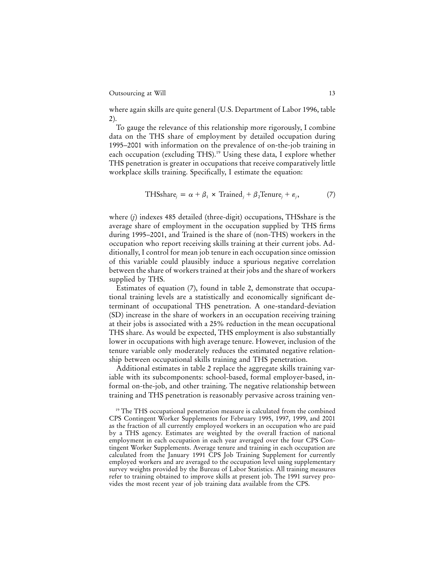where again skills are quite general (U.S. Department of Labor 1996, table 2).

To gauge the relevance of this relationship more rigorously, I combine data on the THS share of employment by detailed occupation during 1995–2001 with information on the prevalence of on-the-job training in each occupation (excluding THS).<sup>19</sup> Using these data, I explore whether THS penetration is greater in occupations that receive comparatively little workplace skills training. Specifically, I estimate the equation:

$$
THSshare_j = \alpha + \beta_1 \times Triangle_j + \beta_2Tenure_j + \varepsilon_j,
$$
 (7)

where (*j*) indexes 485 detailed (three-digit) occupations, THSshare is the average share of employment in the occupation supplied by THS firms during 1995–2001, and Trained is the share of (non-THS) workers in the occupation who report receiving skills training at their current jobs. Additionally, I control for mean job tenure in each occupation since omission of this variable could plausibly induce a spurious negative correlation between the share of workers trained at their jobs and the share of workers supplied by THS.

Estimates of equation (7), found in table 2, demonstrate that occupational training levels are a statistically and economically significant determinant of occupational THS penetration. A one-standard-deviation (SD) increase in the share of workers in an occupation receiving training at their jobs is associated with a 25% reduction in the mean occupational THS share. As would be expected, THS employment is also substantially lower in occupations with high average tenure. However, inclusion of the tenure variable only moderately reduces the estimated negative relationship between occupational skills training and THS penetration.

Additional estimates in table 2 replace the aggregate skills training variable with its subcomponents: school-based, formal employer-based, informal on-the-job, and other training. The negative relationship between training and THS penetration is reasonably pervasive across training ven-

<sup>&</sup>lt;sup>19</sup> The THS occupational penetration measure is calculated from the combined CPS Contingent Worker Supplements for February 1995, 1997, 1999, and 2001 as the fraction of all currently employed workers in an occupation who are paid by a THS agency. Estimates are weighted by the overall fraction of national employment in each occupation in each year averaged over the four CPS Contingent Worker Supplements. Average tenure and training in each occupation are calculated from the January 1991 CPS Job Training Supplement for currently employed workers and are averaged to the occupation level using supplementary survey weights provided by the Bureau of Labor Statistics. All training measures refer to training obtained to improve skills at present job. The 1991 survey provides the most recent year of job training data available from the CPS.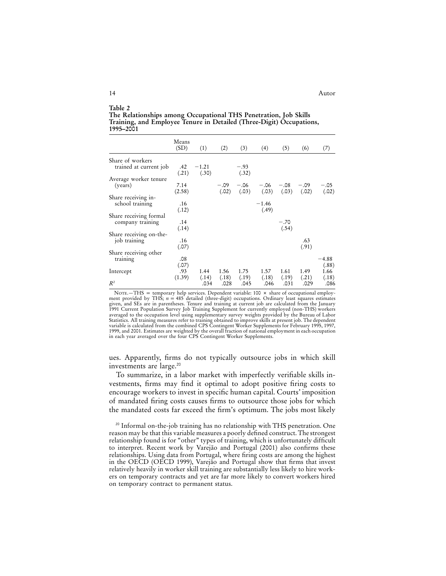| Table 2                                                              |
|----------------------------------------------------------------------|
| The Relationships among Occupational THS Penetration, Job Skills     |
| Training, and Employee Tenure in Detailed (Three-Digit) Occupations, |
| 1995–2001                                                            |

|                         | Means<br>(SD)  | (1)              | (2)             | (3)             | (4)              | (5)                       | (6)             | (7)              |
|-------------------------|----------------|------------------|-----------------|-----------------|------------------|---------------------------|-----------------|------------------|
| Share of workers        |                |                  |                 |                 |                  |                           |                 |                  |
| trained at current job  | .42<br>(.21)   | $-1.21$<br>(.30) |                 | $-.93$<br>(.32) |                  |                           |                 |                  |
| Average worker tenure   |                |                  |                 |                 |                  |                           |                 |                  |
| (years)                 | 7.14<br>(2.58) |                  | $-.09$<br>(.02) | $-.06$<br>(.03) | $-.06$           | $-.08$<br>$(.03)$ $(.03)$ | $-.09$<br>(.02) | $-.05$<br>(.02)  |
| Share receiving in-     |                |                  |                 |                 |                  |                           |                 |                  |
| school training         | .16<br>(.12)   |                  |                 |                 | $-1.46$<br>(.49) |                           |                 |                  |
| Share receiving formal  |                |                  |                 |                 |                  |                           |                 |                  |
| company training        | .14<br>(.14)   |                  |                 |                 |                  | $-.70$<br>(.54)           |                 |                  |
| Share receiving on-the- |                |                  |                 |                 |                  |                           |                 |                  |
| job training            | .16<br>(.07)   |                  |                 |                 |                  |                           | .63<br>(.91)    |                  |
| Share receiving other   |                |                  |                 |                 |                  |                           |                 |                  |
| training                | .08<br>(.07)   |                  |                 |                 |                  |                           |                 | $-4.88$<br>(.88) |
| Intercept               | .93<br>(1.39)  | 1.44<br>(.14)    | 1.56<br>(.18)   | 1.75<br>(.19)   | 1.57<br>(.18)    | 1.61<br>(.19)             | 1.49<br>(.21)   | 1.66<br>(.18)    |
| $R^2$                   |                | .034             | .028            | .045            | .046             | .031                      | .029            | .086             |

NOTE.—THS = temporary help services. Dependent variable: 100 × share of occupational employ-<br>ment provided by THS;  $n = 485$  detailed (three-digit) occupations. Ordinary least squares estimates given, and SEs are in parentheses. Tenure and training at current job are calculated from the January 1991 Current Population Survey Job Training Supplement for currently employed (non-THS) workers averaged to the occupation level using supplementary survey weights provided by the Bureau of Labor Statistics. All training measures refer to training obtained to improve skills at present job. The dependent variable is calculated from the combined CPS Contingent Worker Supplements for February 1995, 1997, 1999, and 2001. Estimates are weighted by the overall fraction of national employment in each occupation in each year averaged over the four CPS Contingent Worker Supplements.

ues. Apparently, firms do not typically outsource jobs in which skill investments are large.<sup>20</sup>

To summarize, in a labor market with imperfectly verifiable skills investments, firms may find it optimal to adopt positive firing costs to encourage workers to invest in specific human capital. Courts' imposition of mandated firing costs causes firms to outsource those jobs for which the mandated costs far exceed the firm's optimum. The jobs most likely

<sup>&</sup>lt;sup>20</sup> Informal on-the-job training has no relationship with THS penetration. One reason may be that this variable measures a poorly defined construct. The strongest relationship found is for "other" types of training, which is unfortunately difficult to interpret. Recent work by Varejão and Portugal (2001) also confirms these relationships. Using data from Portugal, where firing costs are among the highest in the OECD (OECD 1999), Varejão and Portugal show that firms that invest relatively heavily in worker skill training are substantially less likely to hire workers on temporary contracts and yet are far more likely to convert workers hired on temporary contract to permanent status.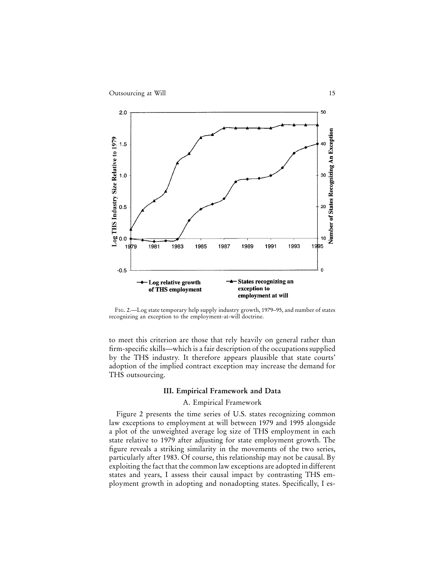

Fig. 2.—Log state temporary help supply industry growth, 1979–95, and number of states recognizing an exception to the employment-at-will doctrine.

to meet this criterion are those that rely heavily on general rather than firm-specific skills—which is a fair description of the occupations supplied by the THS industry. It therefore appears plausible that state courts' adoption of the implied contract exception may increase the demand for THS outsourcing.

#### **III. Empirical Framework and Data**

#### A. Empirical Framework

Figure 2 presents the time series of U.S. states recognizing common law exceptions to employment at will between 1979 and 1995 alongside a plot of the unweighted average log size of THS employment in each state relative to 1979 after adjusting for state employment growth. The figure reveals a striking similarity in the movements of the two series, particularly after 1983. Of course, this relationship may not be causal. By exploiting the fact that the common law exceptions are adopted in different states and years, I assess their causal impact by contrasting THS employment growth in adopting and nonadopting states. Specifically, I es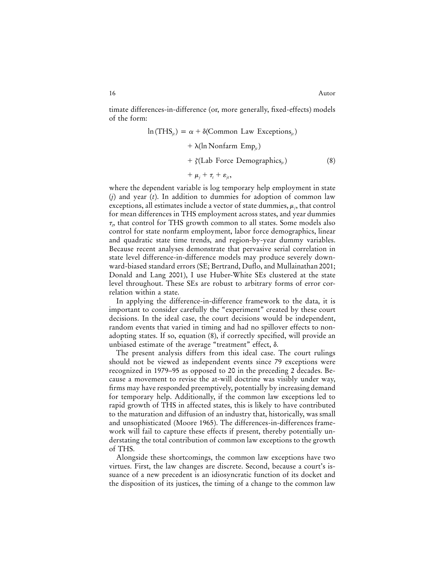timate differences-in-difference (or, more generally, fixed-effects) models of the form:

$$
\ln(\text{THS}_{jt}) = \alpha + \delta(\text{Common Law Exceptions}_{jt}) + \lambda(\ln \text{Nonfarm Emp}_{jt}) + \zeta(\text{Lab Force Demographies}_{jt})
$$
\n(8)

$$
+ \mu_{j} + \tau_{t} + \varepsilon_{jt},
$$

where the dependent variable is log temporary help employment in state (*j*) and year (*t*). In addition to dummies for adoption of common law exceptions, all estimates include a vector of state dummies,  $\mu_i$ , that control for mean differences in THS employment across states, and year dummies  $\tau_{t}$ , that control for THS growth common to all states. Some models also control for state nonfarm employment, labor force demographics, linear and quadratic state time trends, and region-by-year dummy variables. Because recent analyses demonstrate that pervasive serial correlation in state level difference-in-difference models may produce severely downward-biased standard errors (SE; Bertrand, Duflo, and Mullainathan 2001; Donald and Lang 2001), I use Huber-White SEs clustered at the state level throughout. These SEs are robust to arbitrary forms of error correlation within a state.

In applying the difference-in-difference framework to the data, it is important to consider carefully the "experiment" created by these court decisions. In the ideal case, the court decisions would be independent, random events that varied in timing and had no spillover effects to nonadopting states. If so, equation (8), if correctly specified, will provide an unbiased estimate of the average "treatment" effect,  $\delta$ .

The present analysis differs from this ideal case. The court rulings should not be viewed as independent events since 79 exceptions were recognized in 1979–95 as opposed to 20 in the preceding 2 decades. Because a movement to revise the at-will doctrine was visibly under way, firms may have responded preemptively, potentially by increasing demand for temporary help. Additionally, if the common law exceptions led to rapid growth of THS in affected states, this is likely to have contributed to the maturation and diffusion of an industry that, historically, was small and unsophisticated (Moore 1965). The differences-in-differences framework will fail to capture these effects if present, thereby potentially understating the total contribution of common law exceptions to the growth of THS.

Alongside these shortcomings, the common law exceptions have two virtues. First, the law changes are discrete. Second, because a court's issuance of a new precedent is an idiosyncratic function of its docket and the disposition of its justices, the timing of a change to the common law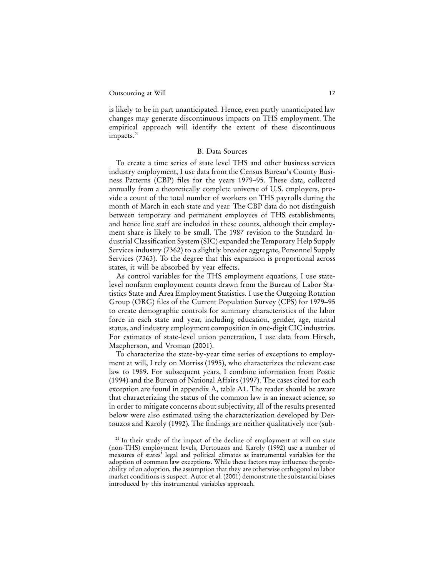is likely to be in part unanticipated. Hence, even partly unanticipated law changes may generate discontinuous impacts on THS employment. The empirical approach will identify the extent of these discontinuous impacts.<sup>21</sup>

#### B. Data Sources

To create a time series of state level THS and other business services industry employment, I use data from the Census Bureau's County Business Patterns (CBP) files for the years 1979–95. These data, collected annually from a theoretically complete universe of U.S. employers, provide a count of the total number of workers on THS payrolls during the month of March in each state and year. The CBP data do not distinguish between temporary and permanent employees of THS establishments, and hence line staff are included in these counts, although their employment share is likely to be small. The 1987 revision to the Standard Industrial Classification System (SIC) expanded the Temporary Help Supply Services industry (7362) to a slightly broader aggregate, Personnel Supply Services (7363). To the degree that this expansion is proportional across states, it will be absorbed by year effects.

As control variables for the THS employment equations, I use statelevel nonfarm employment counts drawn from the Bureau of Labor Statistics State and Area Employment Statistics. I use the Outgoing Rotation Group (ORG) files of the Current Population Survey (CPS) for 1979–95 to create demographic controls for summary characteristics of the labor force in each state and year, including education, gender, age, marital status, and industry employment composition in one-digit CIC industries. For estimates of state-level union penetration, I use data from Hirsch, Macpherson, and Vroman (2001).

To characterize the state-by-year time series of exceptions to employment at will, I rely on Morriss (1995), who characterizes the relevant case law to 1989. For subsequent years, I combine information from Postic (1994) and the Bureau of National Affairs (1997). The cases cited for each exception are found in appendix A, table A1. The reader should be aware that characterizing the status of the common law is an inexact science, so in order to mitigate concerns about subjectivity, all of the results presented below were also estimated using the characterization developed by Dertouzos and Karoly (1992). The findings are neither qualitatively nor (sub-

<sup>&</sup>lt;sup>21</sup> In their study of the impact of the decline of employment at will on state (non-THS) employment levels, Dertouzos and Karoly (1992) use a number of measures of states' legal and political climates as instrumental variables for the adoption of common law exceptions. While these factors may influence the probability of an adoption, the assumption that they are otherwise orthogonal to labor market conditions is suspect. Autor et al. (2001) demonstrate the substantial biases introduced by this instrumental variables approach.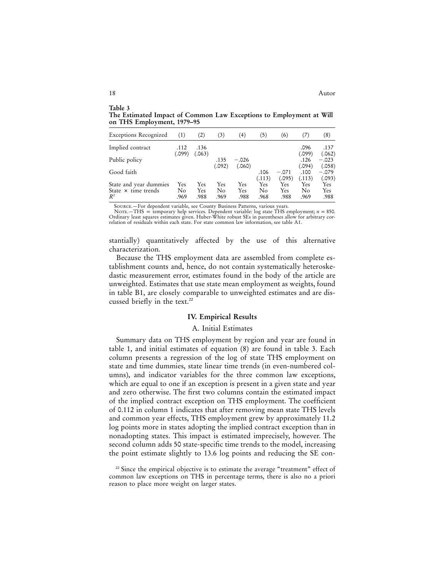18 Autor

**The Estimated Impact of Common Law Exceptions to Employment at Will on THS Employment, 1979–95**

| <b>Exceptions Recognized</b>                  | (1)       | (2)        | (3)       | $\left(4\right)$ | $\left( 5\right)$ | (6)        | (7)            | (8)               |
|-----------------------------------------------|-----------|------------|-----------|------------------|-------------------|------------|----------------|-------------------|
| Implied contract                              | .112      | .136       |           |                  |                   |            | .096           | .137              |
| Public policy                                 | (.099)    | (.063)     | .135      | $-.026$          |                   |            | (.099)<br>.126 | (.062)<br>$-.023$ |
| Good faith                                    |           |            | (.092)    | (.060)           | .106              | $-.071$    | (.094)<br>.100 | (.058)<br>$-.079$ |
|                                               |           |            |           |                  | (.113)            | (.095)     | (.113)         | (.093)            |
| State and year dummies<br>State × time trends | Yes<br>No | Yes<br>Yes | Yes<br>No | Yes<br>Yes       | Yes<br>No         | Yes<br>Yes | Yes<br>No      | Yes<br>Yes        |
| $R^2$                                         | .969      | .988       | .969      | .988             | .968              | .988       | .969           | .988              |

Source.—For dependent variable, see County Business Patterns, various years.

Nore.—THS = temporary help services. Dependent variable: log state THS employment; *n* = 850.<br>Ordinary least squares estimates given. Huber-White robust SEs in parentheses allow for arbitrary correlation of residuals within each state. For state common law information, see table A1.

stantially) quantitatively affected by the use of this alternative characterization.

Because the THS employment data are assembled from complete establishment counts and, hence, do not contain systematically heteroskedastic measurement error, estimates found in the body of the article are unweighted. Estimates that use state mean employment as weights, found in table B1, are closely comparable to unweighted estimates and are discussed briefly in the text.<sup>22</sup>

#### **IV. Empirical Results**

#### A. Initial Estimates

Summary data on THS employment by region and year are found in table 1, and initial estimates of equation (8) are found in table 3. Each column presents a regression of the log of state THS employment on state and time dummies, state linear time trends (in even-numbered columns), and indicator variables for the three common law exceptions, which are equal to one if an exception is present in a given state and year and zero otherwise. The first two columns contain the estimated impact of the implied contract exception on THS employment. The coefficient of 0.112 in column 1 indicates that after removing mean state THS levels and common year effects, THS employment grew by approximately 11.2 log points more in states adopting the implied contract exception than in nonadopting states. This impact is estimated imprecisely, however. The second column adds 50 state-specific time trends to the model, increasing the point estimate slightly to 13.6 log points and reducing the SE con-

<sup>22</sup> Since the empirical objective is to estimate the average "treatment" effect of common law exceptions on THS in percentage terms, there is also no a priori reason to place more weight on larger states.

**Table 3**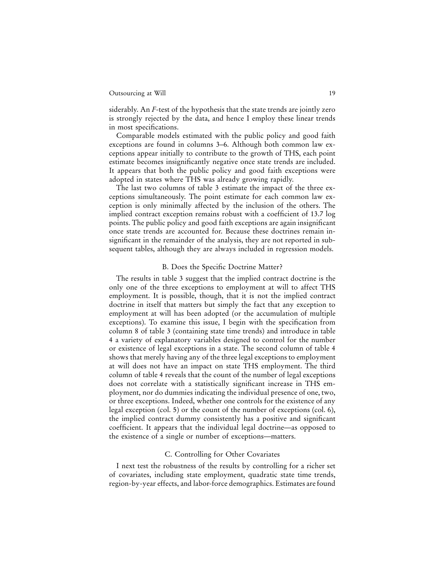siderably. An *F*-test of the hypothesis that the state trends are jointly zero is strongly rejected by the data, and hence I employ these linear trends in most specifications.

Comparable models estimated with the public policy and good faith exceptions are found in columns 3–6. Although both common law exceptions appear initially to contribute to the growth of THS, each point estimate becomes insignificantly negative once state trends are included. It appears that both the public policy and good faith exceptions were adopted in states where THS was already growing rapidly.

The last two columns of table 3 estimate the impact of the three exceptions simultaneously. The point estimate for each common law exception is only minimally affected by the inclusion of the others. The implied contract exception remains robust with a coefficient of 13.7 log points. The public policy and good faith exceptions are again insignificant once state trends are accounted for. Because these doctrines remain insignificant in the remainder of the analysis, they are not reported in subsequent tables, although they are always included in regression models.

#### B. Does the Specific Doctrine Matter?

The results in table 3 suggest that the implied contract doctrine is the only one of the three exceptions to employment at will to affect THS employment. It is possible, though, that it is not the implied contract doctrine in itself that matters but simply the fact that any exception to employment at will has been adopted (or the accumulation of multiple exceptions). To examine this issue, I begin with the specification from column 8 of table 3 (containing state time trends) and introduce in table 4 a variety of explanatory variables designed to control for the number or existence of legal exceptions in a state. The second column of table 4 shows that merely having any of the three legal exceptions to employment at will does not have an impact on state THS employment. The third column of table 4 reveals that the count of the number of legal exceptions does not correlate with a statistically significant increase in THS employment, nor do dummies indicating the individual presence of one, two, or three exceptions. Indeed, whether one controls for the existence of any legal exception (col. 5) or the count of the number of exceptions (col. 6), the implied contract dummy consistently has a positive and significant coefficient. It appears that the individual legal doctrine—as opposed to the existence of a single or number of exceptions—matters.

#### C. Controlling for Other Covariates

I next test the robustness of the results by controlling for a richer set of covariates, including state employment, quadratic state time trends, region-by-year effects, and labor-force demographics. Estimates are found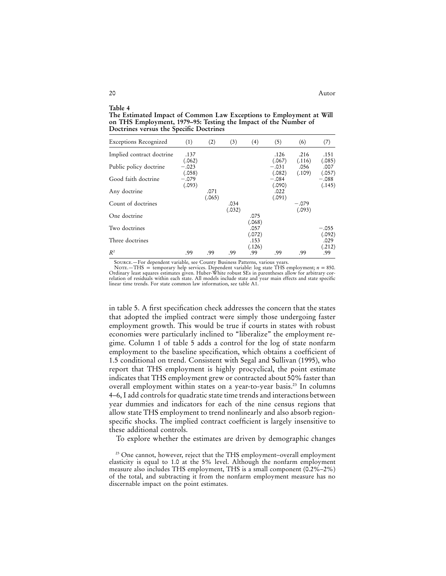**The Estimated Impact of Common Law Exceptions to Employment at Will on THS Employment, 1979–95: Testing the Impact of the Number of Doctrines versus the Specific Doctrines**

| <b>Exceptions Recognized</b> | (1)               | (2)    | (3)    | (4)            | (5)               | (6)            | (7)               |
|------------------------------|-------------------|--------|--------|----------------|-------------------|----------------|-------------------|
| Implied contract doctrine    | .137              |        |        |                | .126              | .216           | .151              |
| Public policy doctrine       | (.062)<br>$-.023$ |        |        |                | (.067)<br>$-.031$ | (.116)<br>.056 | (.085)<br>.007    |
| Good faith doctrine          | (.058)<br>$-.079$ |        |        |                | (.082)<br>$-.084$ | (.109)         | (.057)<br>$-.088$ |
| Any doctrine                 | (.093)            | .071   |        |                | (.090)<br>.022    |                | (.145)            |
| Count of doctrines           |                   | (.065) | .034   |                | (.091)            | $-.079$        |                   |
| One doctrine                 |                   |        | (.032) | .075           |                   | (.093)         |                   |
| Two doctrines                |                   |        |        | (.068)<br>.057 |                   |                | $-.055$           |
| Three doctrines              |                   |        |        | (.072)<br>.153 |                   |                | (.092)<br>.029    |
| $R^2$                        | .99               | .99    | .99    | (.126)<br>.99  | .99               | .99            | (.212)<br>.99     |

Source.—For dependent variable, see County Business Patterns, various years.

NOTE.—THS = temporary help services. Dependent variable: log state THS employment; *n* = 850.<br>Ordinary least squares estimates given. Huber-White robust SEs in parentheses allow for arbitrary correlation of residuals withi linear time trends. For state common law information, see table A1.

in table 5. A first specification check addresses the concern that the states that adopted the implied contract were simply those undergoing faster employment growth. This would be true if courts in states with robust economies were particularly inclined to "liberalize" the employment regime. Column 1 of table 5 adds a control for the log of state nonfarm employment to the baseline specification, which obtains a coefficient of 1.5 conditional on trend. Consistent with Segal and Sullivan (1995), who report that THS employment is highly procyclical, the point estimate indicates that THS employment grew or contracted about 50% faster than overall employment within states on a year-to-year basis.<sup>23</sup> In columns 4–6, I add controls for quadratic state time trends and interactions between year dummies and indicators for each of the nine census regions that allow state THS employment to trend nonlinearly and also absorb regionspecific shocks. The implied contract coefficient is largely insensitive to these additional controls.

To explore whether the estimates are driven by demographic changes

**Table 4**

<sup>&</sup>lt;sup>23</sup> One cannot, however, reject that the THS employment-overall employment elasticity is equal to 1.0 at the 5% level. Although the nonfarm employment measure also includes THS employment, THS is a small component (0.2%–2%) of the total, and subtracting it from the nonfarm employment measure has no discernable impact on the point estimates.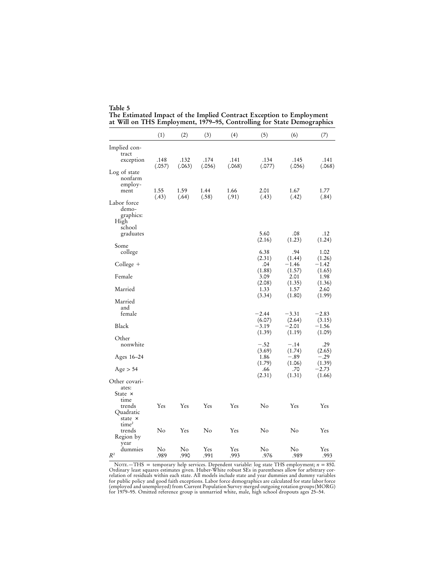| Table 5                                                                |  |
|------------------------------------------------------------------------|--|
| The Estimated Impact of the Implied Contract Exception to Employment   |  |
| at Will on THS Employment, 1979-95, Controlling for State Demographics |  |

|                                                     | (1)            | (2)            | (3)            | (4)            | (5)               | (6)               | (7)               |
|-----------------------------------------------------|----------------|----------------|----------------|----------------|-------------------|-------------------|-------------------|
| Implied con-<br>tract                               |                |                |                |                |                   |                   |                   |
| exception                                           | .148<br>(.057) | .132<br>(.063) | .174<br>(.056) | .141<br>(.068) | .134<br>(.077)    | .145<br>(.056)    | .141<br>(.068)    |
| Log of state<br>nonfarm<br>employ-<br>ment          | 1.55           | 1.59           | 1.44           | 1.66           | 2.01              | 1.67              | 1.77              |
|                                                     | (.43)          | (.64)          | (.58)          | (.91)          | (.43)             | (.42)             | (.84)             |
| Labor force<br>demo-<br>graphics:<br>High<br>school |                |                |                |                |                   |                   |                   |
| graduates                                           |                |                |                |                | 5.60<br>(2.16)    | .08<br>(1.23)     | .12<br>(1.24)     |
| Some<br>college                                     |                |                |                |                | 6.38              | .94               | 1.02              |
| $Collect +$                                         |                |                |                |                | (2.31)<br>.04     | (1.44)<br>$-1.46$ | (1.26)<br>$-1.42$ |
| Female                                              |                |                |                |                | (1.88)<br>3.09    | (1.57)<br>2.01    | (1.65)<br>1.98    |
| Married                                             |                |                |                |                | (2.08)<br>1.33    | (1.35)<br>1.57    | (1.36)<br>2.60    |
| Married<br>and<br>female                            |                |                |                |                | (3.34)<br>$-2.44$ | (1.80)<br>$-3.31$ | (1.99)<br>$-2.83$ |
| Black                                               |                |                |                |                | (6.07)<br>$-3.19$ | (2.64)<br>$-2.01$ | (3.15)<br>$-1.56$ |
|                                                     |                |                |                |                | (1.39)            | (1.19)            | (1.09)            |
| Other<br>nonwhite                                   |                |                |                |                | $-.52$            | $-.14$            | .29               |
| Ages 16-24                                          |                |                |                |                | (3.69)<br>1.86    | (1.74)<br>$-.89$  | (2.65)<br>$-.29$  |
| Age > 54                                            |                |                |                |                | (1.79)<br>.66     | (1.06)<br>.70     | (1.39)<br>$-2.73$ |
| Other covari-<br>ates:                              |                |                |                |                | (2.31)            | (1.31)            | (1.66)            |
| State $\times$<br>time                              |                |                |                |                |                   |                   |                   |
| trends<br>Quadratic<br>state ×<br>time <sup>2</sup> | Yes            | Yes            | Yes            | Yes            | No                | Yes               | Yes               |
| trends<br>Region by<br>year                         | No             | Yes            | No             | Yes            | No                | No                | Yes               |
| dummies<br>$\mathbb{R}^2$                           | No<br>.989     | No<br>.990     | Yes<br>.991    | Yes<br>.993    | No<br>.976        | No<br>.989        | Yes<br>.993       |

NOTE.—THS = temporary help services. Dependent variable: log state THS employment;  $n = 850$ .<br>Ordinary least squares estimates given. Huber-White robust SEs in parentheses allow for arbitrary cor-<br>relation of residuals wit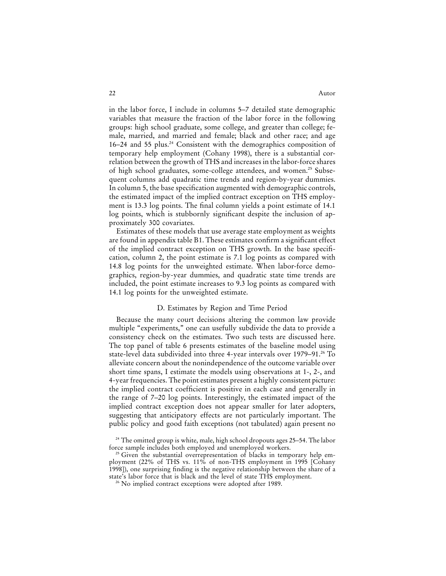in the labor force, I include in columns 5–7 detailed state demographic variables that measure the fraction of the labor force in the following groups: high school graduate, some college, and greater than college; female, married, and married and female; black and other race; and age 16–24 and 55 plus.<sup>24</sup> Consistent with the demographics composition of temporary help employment (Cohany 1998), there is a substantial correlation between the growth of THS and increases in the labor-force shares of high school graduates, some-college attendees, and women.<sup>25</sup> Subsequent columns add quadratic time trends and region-by-year dummies. In column 5, the base specification augmented with demographic controls, the estimated impact of the implied contract exception on THS employment is 13.3 log points. The final column yields a point estimate of 14.1 log points, which is stubbornly significant despite the inclusion of approximately 300 covariates.

Estimates of these models that use average state employment as weights are found in appendix table B1. These estimates confirm a significant effect of the implied contract exception on THS growth. In the base specification, column 2, the point estimate is 7.1 log points as compared with 14.8 log points for the unweighted estimate. When labor-force demographics, region-by-year dummies, and quadratic state time trends are included, the point estimate increases to 9.3 log points as compared with 14.1 log points for the unweighted estimate.

#### D. Estimates by Region and Time Period

Because the many court decisions altering the common law provide multiple "experiments," one can usefully subdivide the data to provide a consistency check on the estimates. Two such tests are discussed here. The top panel of table 6 presents estimates of the baseline model using state-level data subdivided into three 4-year intervals over 1979–91.<sup>26</sup> To alleviate concern about the nonindependence of the outcome variable over short time spans, I estimate the models using observations at 1-, 2-, and 4-year frequencies. The point estimates present a highly consistent picture: the implied contract coefficient is positive in each case and generally in the range of 7–20 log points. Interestingly, the estimated impact of the implied contract exception does not appear smaller for later adopters, suggesting that anticipatory effects are not particularly important. The public policy and good faith exceptions (not tabulated) again present no

<sup>&</sup>lt;sup>24</sup> The omitted group is white, male, high school dropouts ages 25-54. The labor force sample includes both employed and unemployed workers.

 $^{25}$  Given the substantial overrepresentation of blacks in temporary help employment (22% of THS vs. 11% of non-THS employment in 1995 [Cohany 1998]), one surprising finding is the negative relationship between the share of a state's labor force that is black and the level of state THS employment.

<sup>26</sup> No implied contract exceptions were adopted after 1989.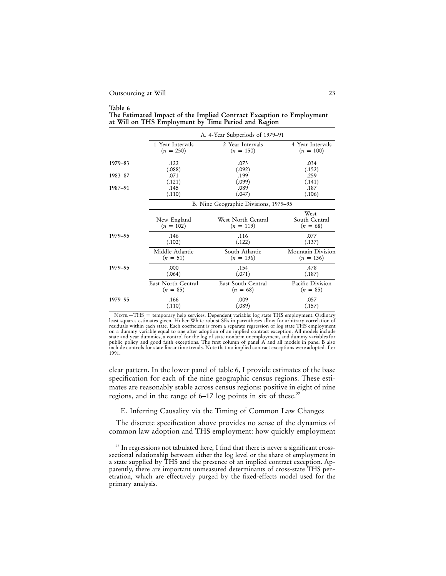#### **Table 6 The Estimated Impact of the Implied Contract Exception to Employment at Will on THS Employment by Time Period and Region**

|         |                            | A. 4-Year Subperiods of 1979–91       |                                     |
|---------|----------------------------|---------------------------------------|-------------------------------------|
|         | 1-Year Intervals           | 2-Year Intervals                      | 4-Year Intervals                    |
|         | $(n = 250)$                | $(n = 150)$                           | $(n = 100)$                         |
| 1979-83 | .122                       | .073                                  | .034                                |
|         | (.088)                     | (.092)                                | (.152)                              |
| 1983-87 | .071                       | .199                                  | .259                                |
|         | (.121)                     | (.099)                                | (.141)                              |
| 1987-91 | .145                       | .089                                  | .187                                |
|         | (.110)                     | (.047)                                | (.106)                              |
|         |                            | B. Nine Geographic Divisions, 1979–95 |                                     |
|         | New England<br>$(n = 102)$ | West North Central<br>$(n = 119)$     | West<br>South Central<br>$(n = 68)$ |
| 1979-95 | .146                       | .116                                  | .077                                |
|         | (.102)                     | (.122)                                | (.137)                              |
|         | Middle Atlantic            | South Atlantic                        | Mountain Division                   |
|         | $(n = 51)$                 | $(n = 136)$                           | $(n = 136)$                         |
| 1979-95 | .000                       | .154                                  | .478                                |
|         | (.064)                     | (.071)                                | (.187)                              |
|         | East North Central         | East South Central                    | Pacific Division                    |
|         | $(n = 85)$                 | $(n = 68)$                            | $(n = 85)$                          |
| 1979-95 | .166                       | .009                                  | .057                                |
|         | (.110)                     | (.089)                                | (.157)                              |

NOTE.—THS = temporary help services. Dependent variable: log state THS employment. Ordinary<br>least squares estimates given. Huber-White robust SEs in parentheses allow for arbitrary correlation of residuals within each state. Each coefficient is from a separate regression of log state THS employment on a dummy variable equal to one after adoption of an implied contract exception. All models include state and year dummies, a control for the log of state nonfarm unemployment, and dummy variables for<br>public policy and good faith exceptions. The first column of panel A and all models in panel B also<br>include controls for 1991.

clear pattern. In the lower panel of table 6, I provide estimates of the base specification for each of the nine geographic census regions. These estimates are reasonably stable across census regions: positive in eight of nine regions, and in the range of 6–17 log points in six of these.<sup>27</sup>

E. Inferring Causality via the Timing of Common Law Changes

The discrete specification above provides no sense of the dynamics of common law adoption and THS employment: how quickly employment

<sup>&</sup>lt;sup>27</sup> In regressions not tabulated here, I find that there is never a significant crosssectional relationship between either the log level or the share of employment in a state supplied by THS and the presence of an implied contract exception. Apparently, there are important unmeasured determinants of cross-state THS penetration, which are effectively purged by the fixed-effects model used for the primary analysis.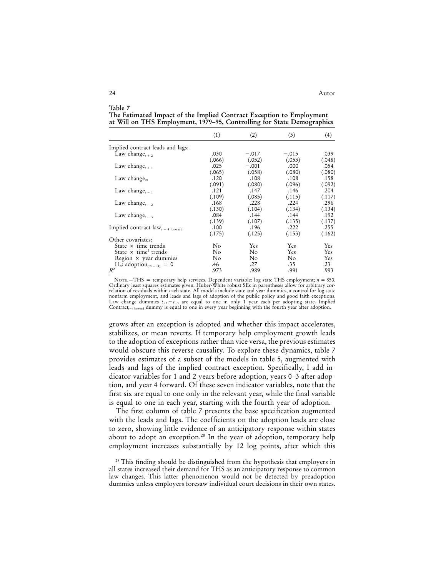#### **Table 7 The Estimated Impact of the Implied Contract Exception to Employment at Will on THS Employment, 1979–95, Controlling for State Demographics**  $(1)$   $(2)$   $(3)$   $(4)$

|                                             | $\lambda$      | $\zeta$ | $\sim$   | $\cdots$ |
|---------------------------------------------|----------------|---------|----------|----------|
| Implied contract leads and lags:            |                |         |          |          |
| Law change <sub><math>t+2</math></sub>      | .030           | $-.017$ | $-.015$  | .039     |
|                                             | (.066)         | (.052)  | (.053)   | (.048)   |
| Law change $_{t+1}$                         | .025           | $-.001$ | .000     | .054     |
|                                             | (.065)         | (.058)  | (.080)   | (.080)   |
| Law change <sub>to</sub>                    | .120           | .108    | .108     | .158     |
|                                             | (.091)         | (.080)  | (.096)   | (.092)   |
| Law change <sub><math>t-1</math></sub>      | .121           | .147    | .146     | .204     |
|                                             | (.109)         | (.085)  | (.115)   | (.117)   |
| Law change, $\overline{\ }$ ,               | .168           | .228    | .224     | .296     |
|                                             | (.130)         | (.104)  | (.134)   | (.134)   |
| Law change <sub><math>t-3</math></sub>      | .084           | .144    | .144     | .192     |
|                                             | (.139)         | (.107)  | (.135)   | (.137)   |
| Implied contract $law_{t-4\text{ forward}}$ | .100           | .196    | .222     | .255     |
|                                             | (.175)         | (.125)  | (.153)   | (.162)   |
| Other covariates:                           |                |         |          |          |
| State $\times$ time trends                  | No             | Yes     | Yes      | Yes      |
| State $\times$ time <sup>2</sup> trends     | N <sub>o</sub> | No      | Yes.     | Yes      |
| Region × year dummies                       | N <sub>o</sub> | No      | $\rm No$ | Yes      |
| $H_0$ : adoption <sub>(t0 - t4)</sub> = 0   | .46            | .27     | .35      | $.23\,$  |
| $R^2$                                       | .973           | .989    | .991     | .993     |
|                                             |                |         |          |          |

Note.—THS = temporary help services. Dependent variable: log state THS employment;  $n = 850$ .<br>Ordinary least squares estimates given. Huber-White robust SEs in parentheses allow for arbitrary correlation of residuals within each state. All models include state and year dummies, a control for log state nonfarm employment, and leads and lags of adoption of the public policy and good faith exceptions.<br>Law change dummies  $t_{+2} - t_{-3}$  are equal to one in only 1 year each per adopting state. Implied Contract<sub> $t$ -4forward</sub> dummy is equal to one in every year beginning with the fourth year after adoption.

grows after an exception is adopted and whether this impact accelerates, stabilizes, or mean reverts. If temporary help employment growth leads to the adoption of exceptions rather than vice versa, the previous estimates would obscure this reverse causality. To explore these dynamics, table 7 provides estimates of a subset of the models in table 5, augmented with leads and lags of the implied contract exception. Specifically, I add indicator variables for 1 and 2 years before adoption, years 0–3 after adoption, and year 4 forward. Of these seven indicator variables, note that the first six are equal to one only in the relevant year, while the final variable is equal to one in each year, starting with the fourth year of adoption.

The first column of table 7 presents the base specification augmented with the leads and lags. The coefficients on the adoption leads are close to zero, showing little evidence of an anticipatory response within states about to adopt an exception.<sup>28</sup> In the year of adoption, temporary help employment increases substantially by 12 log points, after which this

<sup>28</sup> This finding should be distinguished from the hypothesis that employers in all states increased their demand for THS as an anticipatory response to common law changes. This latter phenomenon would not be detected by preadoption dummies unless employers foresaw individual court decisions in their own states.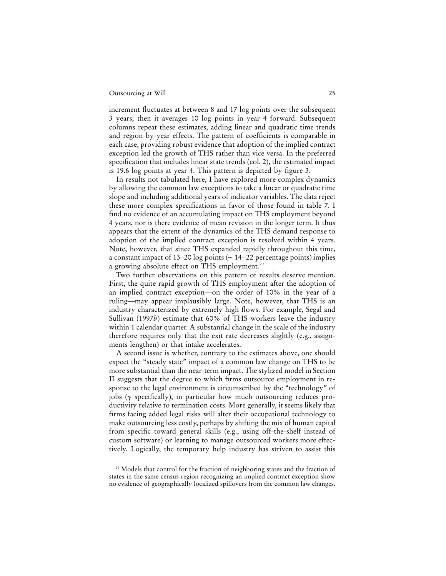increment fluctuates at between 8 and 17 log points over the subsequent 3 years; then it averages 10 log points in year 4 forward. Subsequent columns repeat these estimates, adding linear and quadratic time trends and region-by-year effects. The pattern of coefficients is comparable in each case, providing robust evidence that adoption of the implied contract exception led the growth of THS rather than vice versa. In the preferred specification that includes linear state trends (col. 2), the estimated impact is 19.6 log points at year 4. This pattern is depicted by figure 3.

In results not tabulated here, I have explored more complex dynamics by allowing the common law exceptions to take a linear or quadratic time slope and including additional years of indicator variables. The data reject these more complex specifications in favor of those found in table 7. I find no evidence of an accumulating impact on THS employment beyond 4 years, nor is there evidence of mean revision in the longer term. It thus appears that the extent of the dynamics of the THS demand response to adoption of the implied contract exception is resolved within 4 years. Note, however, that since THS expanded rapidly throughout this time, a constant impact of 13–20 log points (~ 14–22 percentage points) implies a growing absolute effect on THS employment.<sup>29</sup>

Two further observations on this pattern of results deserve mention. First, the quite rapid growth of THS employment after the adoption of an implied contract exception—on the order of 10% in the year of a ruling—may appear implausibly large. Note, however, that THS is an industry characterized by extremely high flows. For example, Segal and Sullivan (1997*b*) estimate that 60% of THS workers leave the industry within 1 calendar quarter. A substantial change in the scale of the industry therefore requires only that the exit rate decreases slightly (e.g., assignments lengthen) or that intake accelerates.

A second issue is whether, contrary to the estimates above, one should expect the "steady state" impact of a common law change on THS to be more substantial than the near-term impact. The stylized model in Section II suggests that the degree to which firms outsource employment in response to the legal environment is circumscribed by the "technology" of jobs ( $\gamma$  specifically), in particular how much outsourcing reduces productivity relative to termination costs. More generally, it seems likely that firms facing added legal risks will alter their occupational technology to make outsourcing less costly, perhaps by shifting the mix of human capital from specific toward general skills (e.g., using off-the-shelf instead of custom software) or learning to manage outsourced workers more effectively. Logically, the temporary help industry has striven to assist this

<sup>29</sup> Models that control for the fraction of neighboring states and the fraction of states in the same census region recognizing an implied contract exception show no evidence of geographically localized spillovers from the common law changes.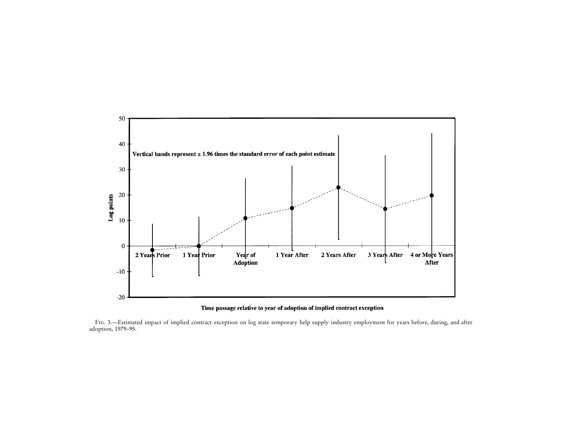

#### Time passage relative to year of adoption of implied contract exception

Fig. 3.—Estimated impact of implied contract exception on log state temporary help supply industry employment for years before, during, and after adoption, 1979–95.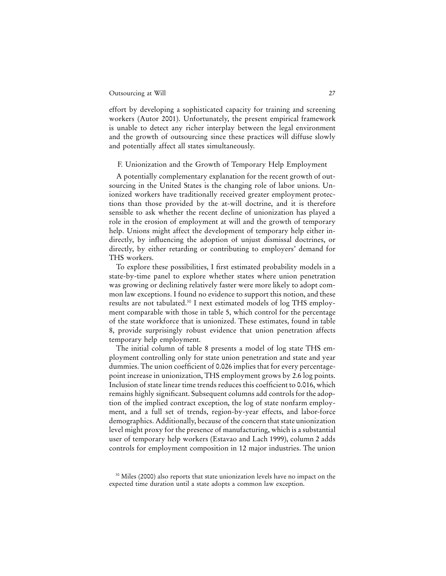effort by developing a sophisticated capacity for training and screening workers (Autor 2001). Unfortunately, the present empirical framework is unable to detect any richer interplay between the legal environment and the growth of outsourcing since these practices will diffuse slowly and potentially affect all states simultaneously.

#### F. Unionization and the Growth of Temporary Help Employment

A potentially complementary explanation for the recent growth of outsourcing in the United States is the changing role of labor unions. Unionized workers have traditionally received greater employment protections than those provided by the at-will doctrine, and it is therefore sensible to ask whether the recent decline of unionization has played a role in the erosion of employment at will and the growth of temporary help. Unions might affect the development of temporary help either indirectly, by influencing the adoption of unjust dismissal doctrines, or directly, by either retarding or contributing to employers' demand for THS workers.

To explore these possibilities, I first estimated probability models in a state-by-time panel to explore whether states where union penetration was growing or declining relatively faster were more likely to adopt common law exceptions. I found no evidence to support this notion, and these results are not tabulated.30 I next estimated models of log THS employment comparable with those in table 5, which control for the percentage of the state workforce that is unionized. These estimates, found in table 8, provide surprisingly robust evidence that union penetration affects temporary help employment.

The initial column of table 8 presents a model of log state THS employment controlling only for state union penetration and state and year dummies. The union coefficient of 0.026 implies that for every percentagepoint increase in unionization, THS employment grows by 2.6 log points. Inclusion of state linear time trends reduces this coefficient to 0.016, which remains highly significant. Subsequent columns add controls for the adoption of the implied contract exception, the log of state nonfarm employment, and a full set of trends, region-by-year effects, and labor-force demographics. Additionally, because of the concern that state unionization level might proxy for the presence of manufacturing, which is a substantial user of temporary help workers (Estavao and Lach 1999), column 2 adds controls for employment composition in 12 major industries. The union

<sup>&</sup>lt;sup>30</sup> Miles (2000) also reports that state unionization levels have no impact on the expected time duration until a state adopts a common law exception.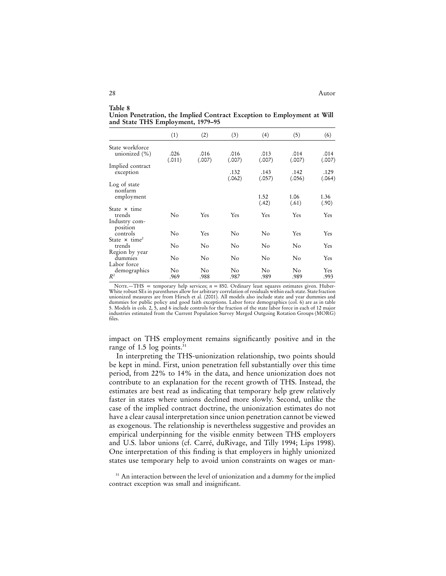**Table 8 Union Penetration, the Implied Contract Exception to Employment at Will and State THS Employment, 1979–95**

|                                            | (1)            | (2)            | (3)            | (4)            | (5)            | (6)            |
|--------------------------------------------|----------------|----------------|----------------|----------------|----------------|----------------|
| State workforce<br>unionized (%)           | .026<br>(.011) | .016<br>(.007) | .016<br>(.007) | .013<br>(.007) | .014<br>(.007) | .014<br>(.007) |
| Implied contract<br>exception              |                |                | .132<br>(.062) | .143<br>(.057) | .142<br>(.056) | .129<br>(.064) |
| Log of state<br>nonfarm<br>employment      |                |                |                | 1.52<br>(.42)  | 1.06<br>(.61)  | 1.36<br>(.90)  |
| State × time<br>trends<br>Industry com-    | $\rm No$       | Yes            | Yes            | Yes            | Yes            | Yes            |
| position<br>controls                       | No             | Yes            | $\rm No$       | No             | Yes            | Yes            |
| State $\times$ time <sup>2</sup><br>trends | No             | No             | No             | No             | No             | Yes            |
| Region by year<br>dummies<br>Labor force   | No             | No             | No             | No             | No             | Yes            |
| demographics<br>$R^2$                      | No<br>.969     | No<br>.988     | No<br>.987     | No<br>.989     | No<br>.989     | Yes<br>.993    |

NOTE.—THS = temporary help services;  $n = 850$ . Ordinary least squares estimates given. Huber-White robust SEs in parentheses allow for arbitrary correlation of residuals within each state. State fraction unionized measures are from Hirsch et al. (2001). All models also include state and year dummies and dummies for public policy and good faith exceptions. Labor force demographics (col. 6) are as in table 5. Models in cols. 2, 5, and 6 include controls for the fraction of the state labor force in each of 12 major industries estimated from the Current Population Survey Merged Outgoing Rotation Groups (MORG) files.

impact on THS employment remains significantly positive and in the range of 1.5  $log$  points.<sup>31</sup>

In interpreting the THS-unionization relationship, two points should be kept in mind. First, union penetration fell substantially over this time period, from 22% to 14% in the data, and hence unionization does not contribute to an explanation for the recent growth of THS. Instead, the estimates are best read as indicating that temporary help grew relatively faster in states where unions declined more slowly. Second, unlike the case of the implied contract doctrine, the unionization estimates do not have a clear causal interpretation since union penetration cannot be viewed as exogenous. The relationship is nevertheless suggestive and provides an empirical underpinning for the visible enmity between THS employers and U.S. labor unions (cf. Carré, duRivage, and Tilly 1994; Lips 1998). One interpretation of this finding is that employers in highly unionized states use temporary help to avoid union constraints on wages or man-

<sup>&</sup>lt;sup>31</sup> An interaction between the level of unionization and a dummy for the implied contract exception was small and insignificant.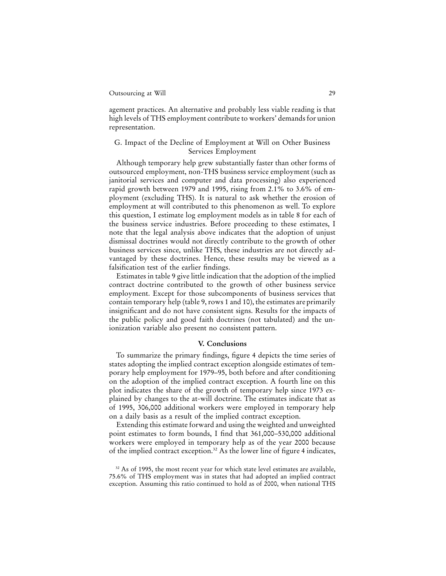agement practices. An alternative and probably less viable reading is that high levels of THS employment contribute to workers' demands for union representation.

#### G. Impact of the Decline of Employment at Will on Other Business Services Employment

Although temporary help grew substantially faster than other forms of outsourced employment, non-THS business service employment (such as janitorial services and computer and data processing) also experienced rapid growth between 1979 and 1995, rising from 2.1% to 3.6% of employment (excluding THS). It is natural to ask whether the erosion of employment at will contributed to this phenomenon as well. To explore this question, I estimate log employment models as in table 8 for each of the business service industries. Before proceeding to these estimates, I note that the legal analysis above indicates that the adoption of unjust dismissal doctrines would not directly contribute to the growth of other business services since, unlike THS, these industries are not directly advantaged by these doctrines. Hence, these results may be viewed as a falsification test of the earlier findings.

Estimates in table 9 give little indication that the adoption of the implied contract doctrine contributed to the growth of other business service employment. Except for those subcomponents of business services that contain temporary help (table 9, rows 1 and 10), the estimates are primarily insignificant and do not have consistent signs. Results for the impacts of the public policy and good faith doctrines (not tabulated) and the unionization variable also present no consistent pattern.

#### **V. Conclusions**

To summarize the primary findings, figure 4 depicts the time series of states adopting the implied contract exception alongside estimates of temporary help employment for 1979–95, both before and after conditioning on the adoption of the implied contract exception. A fourth line on this plot indicates the share of the growth of temporary help since 1973 explained by changes to the at-will doctrine. The estimates indicate that as of 1995, 306,000 additional workers were employed in temporary help on a daily basis as a result of the implied contract exception.

Extending this estimate forward and using the weighted and unweighted point estimates to form bounds, I find that 361,000–530,000 additional workers were employed in temporary help as of the year 2000 because of the implied contract exception.<sup>32</sup> As the lower line of figure 4 indicates,

<sup>&</sup>lt;sup>32</sup> As of 1995, the most recent year for which state level estimates are available, 75.6% of THS employment was in states that had adopted an implied contract exception. Assuming this ratio continued to hold as of 2000, when national THS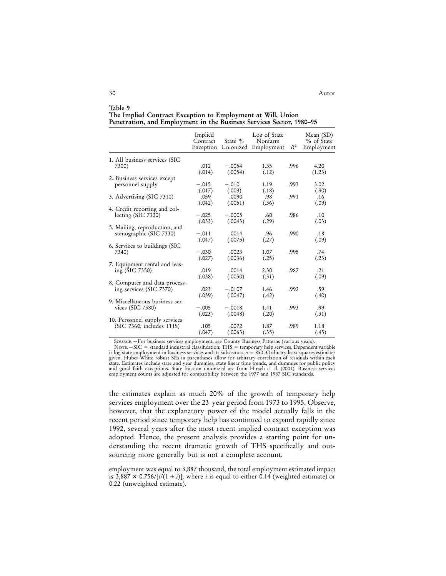| Table 9                                                              |  |  |
|----------------------------------------------------------------------|--|--|
| The Implied Contract Exception to Employment at Will, Union          |  |  |
| Penetration, and Employment in the Business Services Sector, 1980-95 |  |  |

|                                                          | Implied<br>Contract<br>Exception | State %             | Log of State<br>Nonfarm<br>Unionized Employment | $R^2$ | Mean (SD)<br>% of State<br>Employment |
|----------------------------------------------------------|----------------------------------|---------------------|-------------------------------------------------|-------|---------------------------------------|
| 1. All business services (SIC                            |                                  |                     |                                                 |       |                                       |
| 7300)                                                    | .012<br>(.014)                   | $-.0054$<br>(.0054) | 1.35<br>(.12)                                   | .996  | 4.20<br>(1.23)                        |
| 2. Business services except                              |                                  |                     |                                                 |       |                                       |
| personnel supply                                         | $-.015$<br>(.017)                | $-.010$<br>(.009)   | 1.19<br>(.18)                                   | .993  | 3.02<br>(.90)                         |
| 3. Advertising (SIC 7310)                                | .059<br>(.042)                   | .0090<br>(.0051)    | .98<br>(.36)                                    | .991  | .16<br>(.09)                          |
| 4. Credit reporting and col-                             |                                  |                     |                                                 |       |                                       |
| lecting $(SIC 7320)$                                     | $-.025$<br>(.033)                | $-.0005$<br>(.0043) | .60<br>(.29)                                    | .986  | .10<br>(.03)                          |
| 5. Mailing, reproduction, and<br>stenographic (SIC 7330) | $-.011$                          | .0014               | .96                                             | .990  | .18                                   |
| 6. Services to buildings (SIC                            | (.047)                           | (.0075)             | (.27)                                           |       | (.09)                                 |
| 7340)                                                    | $-.030$<br>(.027)                | .0023<br>(.0036)    | 1.07<br>(.25)                                   | .995  | .74<br>(.23)                          |
| 7. Equipment rental and leas-                            |                                  |                     |                                                 |       |                                       |
| ing(SIC 7350)                                            | .019<br>(.038)                   | .0014<br>(.0050)    | 2.30<br>(.31)                                   | .987  | .21<br>(.09)                          |
| 8. Computer and data process-<br>ing services (SIC 7370) | .023                             | $-.0107$            | 1.46                                            | .992  | .59                                   |
|                                                          | (.039)                           | (.0047)             | (.42)                                           |       | (.40)                                 |
| 9. Miscellaneous business ser-<br>vices (SIC 7380)       | $-.005$                          | $-.0018$            | 1.41                                            | .993  | .99                                   |
| 10. Personnel supply services                            | (.023)                           | (.0048)             | (.20)                                           |       | (.31)                                 |
| (SIC 7360, includes THS)                                 | .105<br>(.047)                   | .0072<br>(.0063)    | 1.87<br>(.35)                                   | .989  | 1.18<br>(.45)                         |

Source.—For business services employment, see County Business Patterns (various years).

 $NOTE = standard$  industrial classification; THS = temporary help services. Dependent variable is log state employment in business services and its subsectors;  $n = 850$ . Ordinary least squares estimates given. Huber-White robust SEs in parentheses allow for arbitrary correlation of residuals within each state. Estimates include state and year dummies, state linear time trends, and dummies for public policy and good faith exceptions. State fraction unionized are from Hirsch et al. (2001). Business services employment counts are adjusted for compatibility between the 1977 and 1987 SIC standards.

the estimates explain as much 20% of the growth of temporary help services employment over the 23-year period from 1973 to 1995. Observe, however, that the explanatory power of the model actually falls in the recent period since temporary help has continued to expand rapidly since 1992, several years after the most recent implied contract exception was adopted. Hence, the present analysis provides a starting point for understanding the recent dramatic growth of THS specifically and outsourcing more generally but is not a complete account.

employment was equal to 3,887 thousand, the total employment estimated impact is  $3,887 \times 0.756/[i/(1+i)],$  where  $i$  is equal to either 0.14 (weighted estimate) or 0.22 (unweighted estimate).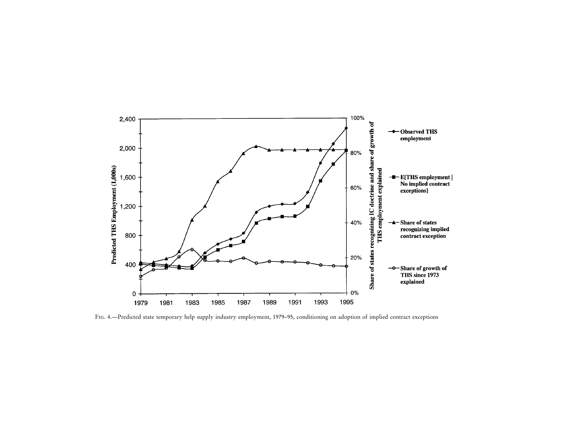

Fig. 4.—Predicted state temporary help supply industry employment, 1979–95, conditioning on adoption of implied contract exceptions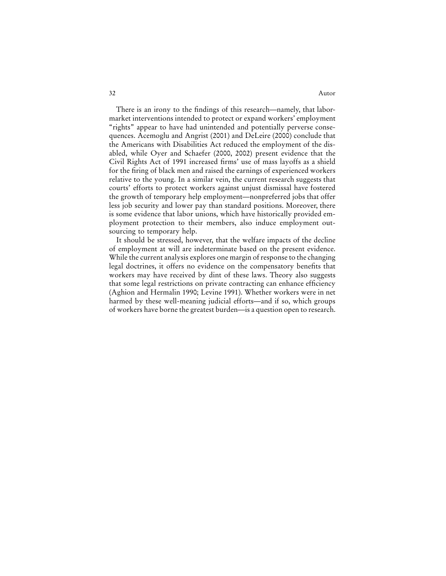#### 32 Autor

There is an irony to the findings of this research—namely, that labormarket interventions intended to protect or expand workers' employment "rights" appear to have had unintended and potentially perverse consequences. Acemoglu and Angrist (2001) and DeLeire (2000) conclude that the Americans with Disabilities Act reduced the employment of the disabled, while Oyer and Schaefer (2000, 2002) present evidence that the Civil Rights Act of 1991 increased firms' use of mass layoffs as a shield for the firing of black men and raised the earnings of experienced workers relative to the young. In a similar vein, the current research suggests that courts' efforts to protect workers against unjust dismissal have fostered the growth of temporary help employment—nonpreferred jobs that offer less job security and lower pay than standard positions. Moreover, there is some evidence that labor unions, which have historically provided employment protection to their members, also induce employment outsourcing to temporary help.

It should be stressed, however, that the welfare impacts of the decline of employment at will are indeterminate based on the present evidence. While the current analysis explores one margin of response to the changing legal doctrines, it offers no evidence on the compensatory benefits that workers may have received by dint of these laws. Theory also suggests that some legal restrictions on private contracting can enhance efficiency (Aghion and Hermalin 1990; Levine 1991). Whether workers were in net harmed by these well-meaning judicial efforts—and if so, which groups of workers have borne the greatest burden—is a question open to research.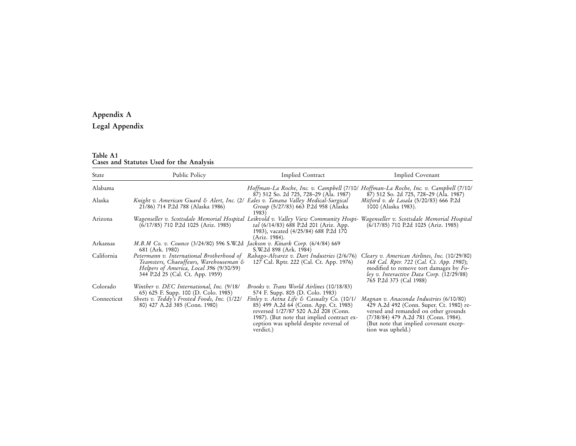## **Appendix A**

## **Legal Appendix**

# **Table A1 Cases and Statutes Used for the Analysis**

| <b>State</b> | Public Policy                                                                                                                                                      | Implied Contract<br>Implied Covenant                                                                                                                                                                                                            |                                                                                                                                                                                                                                    |
|--------------|--------------------------------------------------------------------------------------------------------------------------------------------------------------------|-------------------------------------------------------------------------------------------------------------------------------------------------------------------------------------------------------------------------------------------------|------------------------------------------------------------------------------------------------------------------------------------------------------------------------------------------------------------------------------------|
| Alabama      |                                                                                                                                                                    | 87) 512 So. 2d 725, 728–29 (Ala. 1987)                                                                                                                                                                                                          | Hoffman-La Roche, Inc. v. Campbell (7/10/ Hoffman-La Roche, Inc. v. Campbell (7/10/<br>87) 512 So. 2d 725, 728–29 (Ala. 1987)                                                                                                      |
| Alaska       | Knight v. American Guard & Alert, Inc. (2/ Eales v. Tanana Valley Medical-Surgical<br>21/86) 714 P.2d 788 (Alaska 1986)                                            | Group (5/27/83) 663 P.2d 958 (Alaska<br>1983)                                                                                                                                                                                                   | Mitford v. de Lasala (5/20/83) 666 P.2d<br>1000 (Alaska 1983).                                                                                                                                                                     |
| Arizona      | Wagenseller v. Scottsdale Memorial Hospital<br>$(6/17/85)$ 710 P.2d 1025 (Ariz. 1985)                                                                              | Leikvold v. Valley View Community Hospi-<br>tal (6/14/83) 688 P.2d 201 (Ariz. App.<br>1983), vacated (4/25/84) 688 P.2d 170<br>(Ariz. 1984).                                                                                                    | Wagenseller v. Scottsdale Memorial Hospital<br>$(6/17/85)$ 710 P.2d 1025 (Ariz. 1985)                                                                                                                                              |
| Arkansas     | M.B.M Co. v. Counce (3/24/80) 596 S.W.2d Jackson v. Kinark Corp. (6/4/84) 669<br>681 (Ark. 1980)                                                                   | S.W.2d 898 (Ark. 1984)                                                                                                                                                                                                                          |                                                                                                                                                                                                                                    |
| California   | Petermann v. International Brotherhood of<br>Teamsters, Chaeuffeurs, Warehouseman &<br>Helpers of America, Local 396 (9/30/59)<br>344 P.2d 25 (Cal. Ct. App. 1959) | Rabago-Alvarez v. Dart Industries (2/6/76)<br>127 Cal. Rptr. 222 (Cal. Ct. App. 1976)                                                                                                                                                           | Cleary v. American Airlines, Inc. (10/29/80)<br>168 Cal. Rptr. 722 (Cal. Ct. App. 1980);<br>modified to remove tort damages by Fo-<br>ley v. Interactive Data Corp. (12/29/88)<br>765 P.2d 373 (Cal 1988)                          |
| Colorado     | Winther v. DEC International, Inc. (9/18/<br>65) 625 F. Supp. 100 (D. Colo. 1985)                                                                                  | <i>Brooks v. Trans World Airlines</i> (10/18/83)<br>574 F. Supp. 805 (D. Colo. 1983)                                                                                                                                                            |                                                                                                                                                                                                                                    |
| Connecticut  | Sheets v. Teddy's Frosted Foods, Inc. (1/22/<br>80) 427 A.2d 385 (Conn. 1980)                                                                                      | Finley v. Aetna Life & Casualty Co. $(10/1)$<br>85) 499 A.2d 64 (Conn. App. Ct. 1985)<br>reversed 1/27/87 520 A.2d <sup>-2</sup> 08 (Conn.<br>1987). (But note that implied contract ex-<br>ception was upheld despite reversal of<br>verdict.) | Magnan v. Anaconda Industries (6/10/80)<br>429 A.2d 492 (Conn. Super. Ct. 1980) re-<br>versed and remanded on other grounds<br>(7/38/84) 479 A.2d 781 (Conn. 1984).<br>(But note that implied covenant excep-<br>tion was upheld.) |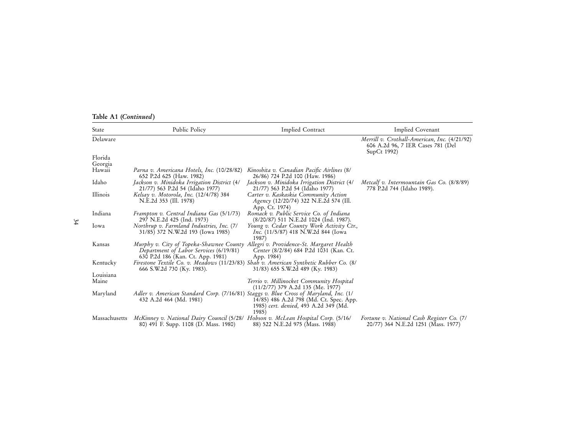|  |  | Table A1 (Continued) |  |
|--|--|----------------------|--|
|--|--|----------------------|--|

| State         | Public Policy                                                                                                                                                    | <b>Implied Contract</b>                                                                             | Implied Covenant                                                                                 |
|---------------|------------------------------------------------------------------------------------------------------------------------------------------------------------------|-----------------------------------------------------------------------------------------------------|--------------------------------------------------------------------------------------------------|
| Delaware      |                                                                                                                                                                  |                                                                                                     | Merrill v. Crothall-American, Inc. (4/21/92)<br>606 A.2d 96, 7 IER Cases 781 (Del<br>SupCt 1992) |
| Florida       |                                                                                                                                                                  |                                                                                                     |                                                                                                  |
| Georgia       |                                                                                                                                                                  |                                                                                                     |                                                                                                  |
| Hawaii        | Parna v. Americana Hotels, Inc. (10/28/82)<br>652 P.2d 625 (Haw. 1982)                                                                                           | Kinoshita v. Canadian Pacific Airlines (8/<br>26/86) 724 P.2d 100 (Haw. 1986)                       |                                                                                                  |
| Idaho         | Jackson v. Minidoka Irrigation District (4/<br>21/77) 563 P.2d 54 (Idaho 1977)                                                                                   | Jackson v. Minidoka Irrigation District (4/<br>21/77) 563 P.2d 54 (Idaho 1977)                      | Metcalf v. Intermountain Gas Co. (8/8/89)<br>778 P.2d 744 (Idaho 1989).                          |
| Illinois      | Kelsay v. Motorola, Inc. (12/4/78) 384<br>N.E.2d 353 (Ill. 1978)                                                                                                 | Carter v. Kaskaskia Community Action<br>$A$ gency (12/20/74) 322 N.E.2d 574 (Ill.<br>App. Ct. 1974) |                                                                                                  |
| Indiana       | Frampton v. Central Indiana Gas (5/1/73)<br>297 N.E.2d 425 (Ind. 1973)                                                                                           | Romack v. Public Service Co. of Indiana<br>(8/20/87) 511 N.E.2d 1024 (Ind. 1987).                   |                                                                                                  |
| lowa          | Northrup v. Farmland Industries, Inc. (7/<br>31/85) 372 N.W.2d 193 (Iowa 1985)                                                                                   | Young v. Cedar County Work Activity Ctr.,<br><i>Inc.</i> (11/5/87) 418 N.W.2d 844 (Iowa<br>1987)    |                                                                                                  |
| Kansas        | Murphy v. City of Topeka-Shawnee County Allegri v. Providence-St. Margaret Health<br>Department of Labor Services (6/19/81)<br>630 P.2d 186 (Kan. Ct. App. 1981) | Center (8/2/84) 684 P.2d 1031 (Kan. Ct.                                                             |                                                                                                  |
| Kentucky      | Firestone Textile Co. v. Meadows (11/23/83) Shah v. American Synthetic Rubber Co. (8/<br>666 S.W.2d 730 (Ky. 1983).                                              | App. 1984)<br>31/83) 655 S.W.2d 489 (Ky. 1983)                                                      |                                                                                                  |
| Louisiana     |                                                                                                                                                                  |                                                                                                     |                                                                                                  |
| Maine         |                                                                                                                                                                  | Terrio v. Millinocket Community Hospital<br>$(11/2/77)$ 379 A.2d 135 (Me. 1977)                     |                                                                                                  |
| Maryland      | Adler v. American Standard Corp. (7/16/81) Staggs v. Blue Cross of Maryland, Inc. (1/<br>432 A.2d 464 (Md. 1981)                                                 | 14/85) 486 A.2d 798 (Md. Ct. Spec. App.<br>1985) cert. denied, 493 A.2d 349 (Md.<br>1985)           |                                                                                                  |
| Massachusetts | McKinney v. National Dairy Council (5/28/ Hobson v. McLean Hospital Corp. (5/16/<br>80) 491 F. Supp. 1108 (D. Mass. 1980)                                        | 88) 522 N.E.2d 975 (Mass. 1988)                                                                     | Fortune v. National Cash Register Co. (7/<br>20/77) 364 N.E.2d 1251 (Mass. 1977)                 |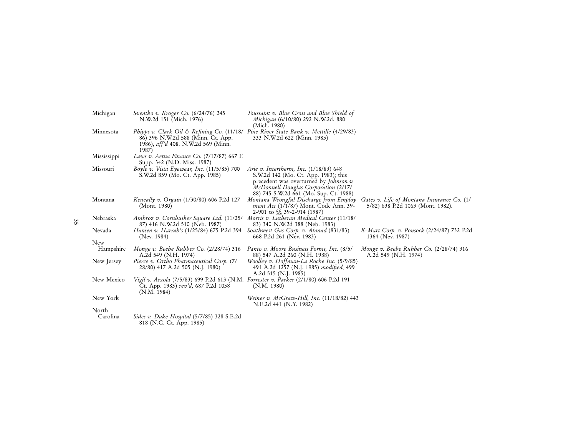| Michigan    | <i>Sventko v. Kroger Co.</i> (6/24/76) 245<br>N.W.2d 151 (Mich. 1976)                                                                                                        | Toussaint v. Blue Cross and Blue Shield of<br>Michigan (6/10/80) 292 N.W.2d. 880<br>(Mich. 1980)                                                                                                                     |                                                                   |
|-------------|------------------------------------------------------------------------------------------------------------------------------------------------------------------------------|----------------------------------------------------------------------------------------------------------------------------------------------------------------------------------------------------------------------|-------------------------------------------------------------------|
| Minnesota   | Phipps v. Clark Oil & Refining Co. (11/18/ Pine River State Bank v. Mettille (4/29/83)<br>86) 396 N.W.2d 588 (Minn. Ct. App.<br>1986), aff'd 408. N.W.2d 569 (Minn.<br>1987) | 333 N.W.2d 622 (Minn. 1983)                                                                                                                                                                                          |                                                                   |
| Mississippi | Laws v. Aetna Finance Co. (7/17/87) 667 F.<br>Supp. 342 (N.D. Miss. 1987)                                                                                                    |                                                                                                                                                                                                                      |                                                                   |
| Missouri    | Boyle v. Vista Eyewear, Inc. $(11/5/85)$ 700<br>S.W.2d 859 (Mo. Ct. App. 1985)                                                                                               | Arie v. Intertherm, Inc. $(1/18/83)$ 648<br>S.W.2d 142 (Mo. Ct. App. 1983); this<br>precedent was overturned by <i>Johnson v</i> .<br>McDonnell Douglas Corporation (2/17/<br>88) 745 S.W.2d 661 (Mo. Sup. Ct. 1988) |                                                                   |
| Montana     | Keneally v. Orgain (1/30/80) 606 P.2d 127<br>(Mont. 1980)                                                                                                                    | Montana Wrongful Discharge from Employ- Gates v. Life of Montana Insurance Co. (1/<br><i>ment Act</i> (1/1/87) Mont. Code Ann. 39-<br>2-901 to §§ 39-2-914 (1987)                                                    | 5/82) 638 P.2d 1063 (Mont. 1982).                                 |
| Nebraska    | Ambroz v. Cornhusker Square Ltd. (11/25/ Morris v. Lutheran Medical Center (11/18/<br>87) 416 N.W.2d 510 (Neb. 1987)                                                         | 83) 340 N.W.2d 388 (Neb. 1983)                                                                                                                                                                                       |                                                                   |
| Nevada      | Hansen v. Harrah's (1/25/84) 675 P.2d 394<br>(Nev. 1984)                                                                                                                     | Southwest Gas Corp. v. Ahmad (831/83)<br>668 P.2d 261 (Nev. 1983)                                                                                                                                                    | K-Mart Corp. v. Ponsock (2/24/87) 732 P.2d<br>1364 (Nev. 1987)    |
| New         |                                                                                                                                                                              |                                                                                                                                                                                                                      |                                                                   |
| Hampshire   | Monge v. Beebe Rubber Co. $(2/28/74)$ 316<br>A.2d 549 (N.H. 1974)                                                                                                            | Panto v. Moore Business Forms, Inc. (8/5/<br>88) 547 A.2d 260 (N.H. 1988)                                                                                                                                            | Monge v. Beebe Rubber Co. $(2/28/74)$ 316<br>A.2d 549 (N.H. 1974) |
| New Jersey  | Pierce v. Ortho Pharmaceutical Corp. (7/<br>28/80) 417 A.2d 505 (N.J. 1980)                                                                                                  | Woolley v. Hoffman-La Roche Inc. (5/9/85)<br>491 A.2d 1257 (N.J. 1985) modified, 499<br>A.2d 515 (N.J. 1985)                                                                                                         |                                                                   |
| New Mexico  | Vigil v. Arzola (7/5/83) 699 P.2d 613 (N.M. Forrester v. Parker (2/1/80) 606 P.2d 191<br>Ct. App. 1983) rev'd, 687 P.2d 1038<br>(N.M. 1984)                                  | (N.M. 1980)                                                                                                                                                                                                          |                                                                   |
| New York    |                                                                                                                                                                              | Weiner v. McGraw-Hill, Inc. (11/18/82) 443<br>N.E.2d 441 (N.Y. 1982)                                                                                                                                                 |                                                                   |
| North       |                                                                                                                                                                              |                                                                                                                                                                                                                      |                                                                   |
| Carolina    | <i>Sides v. Duke Hospital</i> (5/7/85) 328 S.E.2d<br>818 (N.C. Ct. App. 1985)                                                                                                |                                                                                                                                                                                                                      |                                                                   |
|             |                                                                                                                                                                              |                                                                                                                                                                                                                      |                                                                   |

35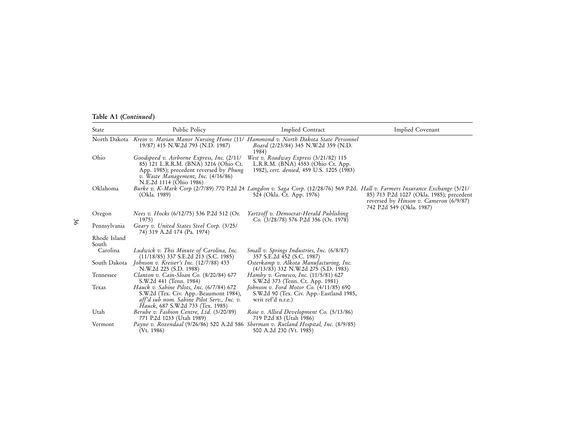|  |  | Table A1 (Continued) |  |
|--|--|----------------------|--|
|--|--|----------------------|--|

| <b>State</b>          | Public Policy                                                                                                                                                                                           | Implied Contract                                                                                                                                            | Implied Covenant                                                                                                        |  |
|-----------------------|---------------------------------------------------------------------------------------------------------------------------------------------------------------------------------------------------------|-------------------------------------------------------------------------------------------------------------------------------------------------------------|-------------------------------------------------------------------------------------------------------------------------|--|
|                       | North Dakota Krein v. Marian Manor Nursing Home (11/ Hammond v. North Dakota State Personnel<br>19/87) 415 N.W.2d 793 (N.D. 1987)                                                                       | Board (2/23/84) 345 N.W.2d 359 (N.D.<br>1984)                                                                                                               |                                                                                                                         |  |
| Ohio                  | Goodspeed v. Airborne Express, Inc. (2/11/<br>85) 121 L.R.R.M. (BNA) 3216 (Ohio Ct.<br>App. 1985); precedent reversed by <i>Phung</i><br>v. Waste Management, Inc. (4/16/86)<br>N.E.2d 1114 (Ohio 1986) | West v. Roadway Express $(3/21/82)$ 115<br>L.R.R.M. $(BNA)$ 4553 (Ohio Ct. App.<br>1982), cert. denied, 459 U.S. 1205 (1983)                                |                                                                                                                         |  |
| Oklahoma              | (Okla. 1989)                                                                                                                                                                                            | Burke v. K-Mark Corp (2/7/89) 770 P.2d 24 Langdon v. Saga Corp. (12/28/76) 569 P.2d. Hall v. Farmers Insurance Exchange (5/21/<br>524 (Okla. Ct. App. 1976) | 85) 713 P.2d 1027 (Okla. 1985); precedent<br>reversed by <i>Hinson v. Cameron</i> (6/9/87)<br>742 P.2d 549 (Okla. 1987) |  |
| Oregon                | <i>Nees v. Hocks</i> (6/12/75) 536 P.2d 512 (Or.<br>1975)                                                                                                                                               | Yartzoff v. Democrat-Herald Publishing<br>Co. $(3/28/78)$ 576 P.2d 356 (Or. 1978)                                                                           |                                                                                                                         |  |
| Pennsylvania          | Geary v. United States Steel Corp. (3/25/<br>74) 319 A.2d 174 (Pa. 1974)                                                                                                                                |                                                                                                                                                             |                                                                                                                         |  |
| Rhode Island<br>South |                                                                                                                                                                                                         |                                                                                                                                                             |                                                                                                                         |  |
| Carolina              | Ludwick v. This Minute of Carolina, Inc.<br>(11/18/85) 337 S.E.2d 213 (S.C. 1985)                                                                                                                       | Small v. Springs Industries, Inc. (6/8/87)<br>357 S.E.2d 452 (S.C. 1987)                                                                                    |                                                                                                                         |  |
| South Dakota          | Johnson v. Kreiser's Inc. $(12/7/88)$ 433<br>N.W.2d 225 (S.D. 1988)                                                                                                                                     | Osterkamp v. Alkota Manufacturing, Inc.<br>$(4/13/83)$ 332 N.W.2d 275 (S.D. 1983)                                                                           |                                                                                                                         |  |
| Tennessee             | Clanton v. Cain-Sloan Co. (8/20/84) 677<br>S.W.2d 441 (Tenn. 1984)                                                                                                                                      | Hamby v. Genesco, Inc. (11/5/81) 627<br>S.W.2d 373 (Tenn. Ct. App. 1981)                                                                                    |                                                                                                                         |  |
| Texas                 | Hauck v. Sabine Pilots, Inc. (6/7/84) 672<br>S.W.2d (Tex. Civ. App.-Beaumont 1984),<br>aff'd sub nom. Sabine Pilot Serv., Inc. v.<br><i>Hauck</i> , 687 S.W.2d 733 (Tex. 1985)                          | Johnson v. Ford Motor Co. $(4/11/85)$ 690<br>S.W.2d 90 (Tex. Civ. App.-Eastland 1985,<br>writ ref'd n.r.e.)                                                 |                                                                                                                         |  |
| Utah                  | Berube v. Fashion Centre, Ltd. (3/20/89)<br>771 P.2d 1033 (Utah 1989)                                                                                                                                   | Rose v. Allied Development Co. $(5/13/86)$<br>719 P.2d 83 (Utah 1986)                                                                                       |                                                                                                                         |  |
| Vermont               | Payne v. Rozendaal (9/26/86) 520 A.2d 586 Sherman v. Rutland Hospital, Inc. (8/9/85)<br>(Vt. 1986)                                                                                                      | 500 A.2d 230 (Vt. 1985)                                                                                                                                     |                                                                                                                         |  |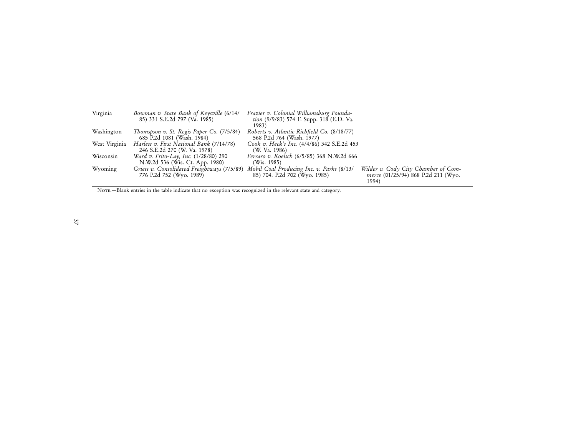| Virginia      | Bowman v. State Bank of Keysville (6/14/<br>85) 331 S.E.2d 797 (Va. 1985) | Frazier v. Colonial Williamsburg Founda-<br>tion (9/9/83) 574 F. Supp. 318 (E.D. Va.<br>1983) |                                                                                     |
|---------------|---------------------------------------------------------------------------|-----------------------------------------------------------------------------------------------|-------------------------------------------------------------------------------------|
| Washington    | Thomspson v. St. Regis Paper Co. (7/5/84)<br>685 P.2d 1081 (Wash. 1984)   | Roberts v. Atlantic Richfield Co. (8/18/77)<br>568 P.2d 764 (Wash. 1977)                      |                                                                                     |
| West Virginia | Harless v. First National Bank (7/14/78)<br>246 S.E.2d 270 (W. Va. 1978)  | Cook v. Heck's Inc. (4/4/86) 342 S.E.2d 453<br>(W. Va. 1986)                                  |                                                                                     |
| Wisconsin     | Ward v. Frito-Lay, Inc. (1/28/80) 290<br>N.W.2d 536 (Wis. Ct. App. 1980)  | Ferraro v. Koelsch (6/5/85) 368 N.W.2d 666<br>(Wis. 1985)                                     |                                                                                     |
| Wyoming       | Griess v. Consolidated Freightways (7/5/89)<br>776 P.2d 752 (Wyo. 1989)   | Mobil Coal Producing Inc. v. Parks (8/13/<br>85) 704. P.2d 702 (Wyo. 1985)                    | Wilder v. Cody City Chamber of Com-<br>merce (01/25/94) 868 P.2d 211 (Wyo.<br>1994) |

NOTE. - Blank entries in the table indicate that no exception was recognized in the relevant state and category.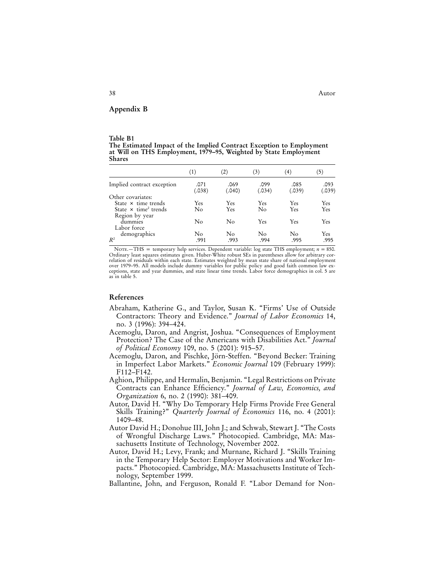**Appendix B**

#### **Table B1 The Estimated Impact of the Implied Contract Exception to Employment at Will on THS Employment, 1979–95, Weighted by State Employment Shares**

|                                                           | (1)            | (2)            | (3)            | (4)            | (5)            |
|-----------------------------------------------------------|----------------|----------------|----------------|----------------|----------------|
| Implied contract exception                                | .071<br>(.038) | .069<br>(.040) | .099<br>(.034) | .085<br>(.039) | .093<br>(.039) |
| Other covariates:                                         |                |                |                |                |                |
| State $\times$ time trends                                | Yes            | Yes            | Yes            | Yes            | Yes            |
| State $\times$ time <sup>2</sup> trends<br>Region by year | No             | Yes            | No             | Yes            | Yes            |
| dummies<br>Labor force                                    | No             | No             | Yes            | Yes            | Yes            |
| demographics<br>$R^2$                                     | No<br>.991     | No<br>.993     | No<br>.994     | No<br>.995     | Yes<br>.995    |

Nore.—THS = temporary help services. Dependent variable: log state THS employment;  $n = 850$ .<br>Ordinary least squares estimates given. Huber-White robust SEs in parentheses allow for arbitrary correlation of residuals within each state. Estimates weighted by mean state share of national employment over 1979–95. All models include dummy variables for public policy and good faith common law ex-ceptions, state and year dummies, and state linear time trends. Labor force demographics in col. 5 are as in table 5.

#### **References**

- Abraham, Katherine G., and Taylor, Susan K. "Firms' Use of Outside Contractors: Theory and Evidence." *Journal of Labor Economics* 14, no. 3 (1996): 394–424.
- Acemoglu, Daron, and Angrist, Joshua. "Consequences of Employment Protection? The Case of the Americans with Disabilities Act." *Journal of Political Economy* 109, no. 5 (2001): 915–57.
- Acemoglu, Daron, and Pischke, Jörn-Steffen. "Beyond Becker: Training in Imperfect Labor Markets." *Economic Journal* 109 (February 1999): F112–F142.
- Aghion, Philippe, and Hermalin, Benjamin. "Legal Restrictions on Private Contracts can Enhance Efficiency." *Journal of Law, Economics, and Organization* 6, no. 2 (1990): 381–409.
- Autor, David H. "Why Do Temporary Help Firms Provide Free General Skills Training?" *Quarterly Journal of Economics* 116, no. 4 (2001): 1409–48.
- Autor David H.; Donohue III, John J.; and Schwab, Stewart J. "The Costs of Wrongful Discharge Laws." Photocopied. Cambridge, MA: Massachusetts Institute of Technology, November 2002.
- Autor, David H.; Levy, Frank; and Murnane, Richard J. "Skills Training in the Temporary Help Sector: Employer Motivations and Worker Impacts." Photocopied. Cambridge, MA: Massachusetts Institute of Technology, September 1999.
- Ballantine, John, and Ferguson, Ronald F. "Labor Demand for Non-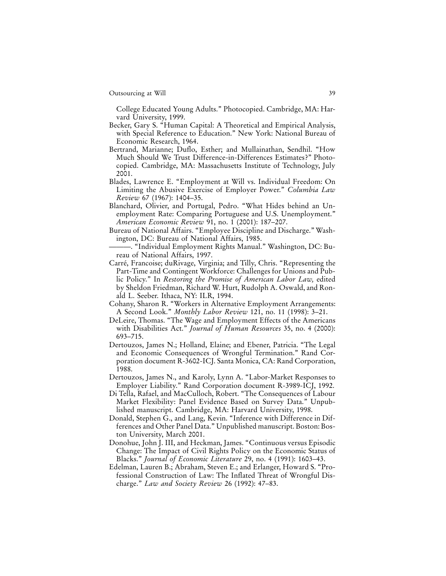College Educated Young Adults." Photocopied. Cambridge, MA: Harvard University, 1999.

- Becker, Gary S. "Human Capital: A Theoretical and Empirical Analysis, with Special Reference to Education." New York: National Bureau of Economic Research, 1964.
- Bertrand, Marianne; Duflo, Esther; and Mullainathan, Sendhil. "How Much Should We Trust Difference-in-Differences Estimates?" Photocopied. Cambridge, MA: Massachusetts Institute of Technology, July 2001.
- Blades, Lawrence E. "Employment at Will vs. Individual Freedom: On Limiting the Abusive Exercise of Employer Power." *Columbia Law Review* 67 (1967): 1404–35.
- Blanchard, Olivier, and Portugal, Pedro. "What Hides behind an Unemployment Rate: Comparing Portuguese and U.S. Unemployment." *American Economic Review* 91, no. 1 (2001): 187–207.
- Bureau of National Affairs. "Employee Discipline and Discharge." Washington, DC: Bureau of National Affairs, 1985.
- ———. "Individual Employment Rights Manual." Washington, DC: Bureau of National Affairs, 1997.
- Carré, Francoise; duRivage, Virginia; and Tilly, Chris. "Representing the Part-Time and Contingent Workforce: Challenges for Unions and Public Policy." In *Restoring the Promise of American Labor Law,* edited by Sheldon Friedman, Richard W. Hurt, Rudolph A. Oswald, and Ronald L. Seeber. Ithaca, NY: ILR, 1994.
- Cohany, Sharon R. "Workers in Alternative Employment Arrangements: A Second Look." *Monthly Labor Review* 121, no. 11 (1998): 3–21.
- DeLeire, Thomas. "The Wage and Employment Effects of the Americans with Disabilities Act." *Journal of Human Resources* 35, no. 4 (2000): 693–715.
- Dertouzos, James N.; Holland, Elaine; and Ebener, Patricia. "The Legal and Economic Consequences of Wrongful Termination." Rand Corporation document R-3602-ICJ. Santa Monica, CA: Rand Corporation, 1988.
- Dertouzos, James N., and Karoly, Lynn A. "Labor-Market Responses to Employer Liability." Rand Corporation document R-3989-ICJ, 1992.
- Di Tella, Rafael, and MacCulloch, Robert. "The Consequences of Labour Market Flexibility: Panel Evidence Based on Survey Data." Unpublished manuscript. Cambridge, MA: Harvard University, 1998.
- Donald, Stephen G., and Lang, Kevin. "Inference with Difference in Differences and Other Panel Data." Unpublished manuscript. Boston: Boston University, March 2001.
- Donohue, John J. III, and Heckman, James. "Continuous versus Episodic Change: The Impact of Civil Rights Policy on the Economic Status of Blacks." *Journal of Economic Literature* 29, no. 4 (1991): 1603–43.
- Edelman, Lauren B.; Abraham, Steven E.; and Erlanger, Howard S. "Professional Construction of Law: The Inflated Threat of Wrongful Discharge." *Law and Society Review* 26 (1992): 47–83.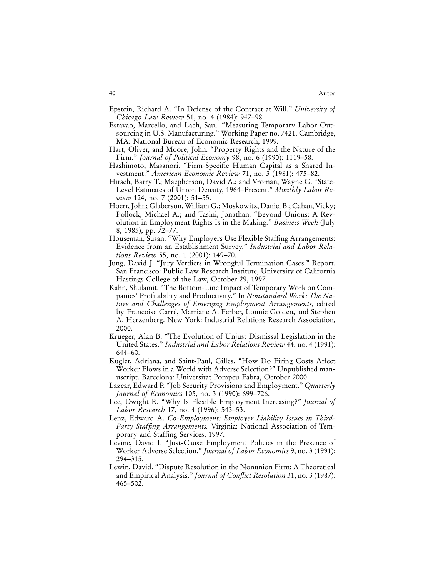- Epstein, Richard A. "In Defense of the Contract at Will." *University of Chicago Law Review* 51, no. 4 (1984): 947–98.
- Estavao, Marcello, and Lach, Saul. "Measuring Temporary Labor Outsourcing in U.S. Manufacturing." Working Paper no. 7421. Cambridge, MA: National Bureau of Economic Research, 1999.
- Hart, Oliver, and Moore, John. "Property Rights and the Nature of the Firm." *Journal of Political Economy* 98, no. 6 (1990): 1119–58.
- Hashimoto, Masanori. "Firm-Specific Human Capital as a Shared Investment." *American Economic Review* 71, no. 3 (1981): 475–82.
- Hirsch, Barry T.; Macpherson, David A.; and Vroman, Wayne G. "State-Level Estimates of Union Density, 1964–Present." *Monthly Labor Review* 124, no. 7 (2001): 51–55.
- Hoerr, John; Glaberson, William G.; Moskowitz, Daniel B.; Cahan, Vicky; Pollock, Michael A.; and Tasini, Jonathan. "Beyond Unions: A Revolution in Employment Rights Is in the Making." *Business Week* (July 8, 1985), pp. 72–77.
- Houseman, Susan. "Why Employers Use Flexible Staffing Arrangements: Evidence from an Establishment Survey." *Industrial and Labor Relations Review* 55, no. 1 (2001): 149–70.
- Jung, David J. "Jury Verdicts in Wrongful Termination Cases." Report. San Francisco: Public Law Research Institute, University of California Hastings College of the Law, October 29, 1997.
- Kahn, Shulamit. "The Bottom-Line Impact of Temporary Work on Companies' Profitability and Productivity." In *Nonstandard Work: The Nature and Challenges of Emerging Employment Arrangements,* edited by Francoise Carré, Marriane A. Ferber, Lonnie Golden, and Stephen A. Herzenberg. New York: Industrial Relations Research Association, 2000.
- Krueger, Alan B. "The Evolution of Unjust Dismissal Legislation in the United States." *Industrial and Labor Relations Review* 44, no. 4 (1991): 644–60.
- Kugler, Adriana, and Saint-Paul, Gilles. "How Do Firing Costs Affect Worker Flows in a World with Adverse Selection?" Unpublished manuscript. Barcelona: Universitat Pompeu Fabra, October 2000.
- Lazear, Edward P. "Job Security Provisions and Employment." *Quarterly Journal of Economics* 105, no. 3 (1990): 699–726.
- Lee, Dwight R. "Why Is Flexible Employment Increasing?" *Journal of Labor Research* 17, no. 4 (1996): 543–53.
- Lenz, Edward A. *Co-Employment: Employer Liability Issues in Third-Party Staffing Arrangements.* Virginia: National Association of Temporary and Staffing Services, 1997.
- Levine, David I. "Just-Cause Employment Policies in the Presence of Worker Adverse Selection." *Journal of Labor Economics* 9, no. 3 (1991): 294–315.
- Lewin, David. "Dispute Resolution in the Nonunion Firm: A Theoretical and Empirical Analysis." *Journal of Conflict Resolution* 31, no. 3 (1987): 465–502.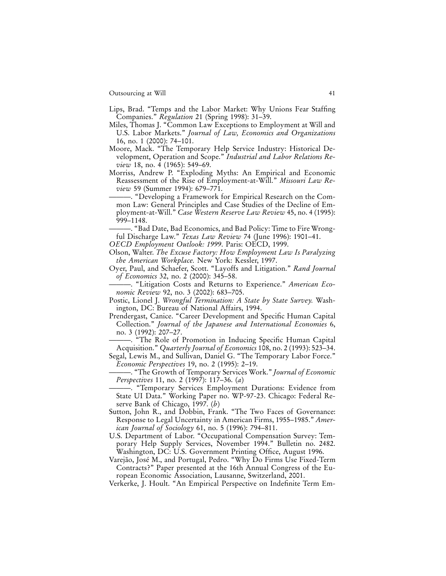- Lips, Brad. "Temps and the Labor Market: Why Unions Fear Staffing Companies." *Regulation* 21 (Spring 1998): 31–39.
- Miles, Thomas J. "Common Law Exceptions to Employment at Will and U.S. Labor Markets." *Journal of Law, Economics and Organizations* 16, no. 1 (2000): 74–101.
- Moore, Mack. "The Temporary Help Service Industry: Historical Development, Operation and Scope." *Industrial and Labor Relations Review* 18, no. 4 (1965): 549–69.
- Morriss, Andrew P. "Exploding Myths: An Empirical and Economic Reassessment of the Rise of Employment-at-Will." *Missouri Law Review* 59 (Summer 1994): 679–771.
- ———. "Developing a Framework for Empirical Research on the Common Law: General Principles and Case Studies of the Decline of Employment-at-Will." *Case Western Reserve Law Review* 45, no. 4 (1995): 999–1148.
- ———. "Bad Date, Bad Economics, and Bad Policy: Time to Fire Wrongful Discharge Law." *Texas Law Review* 74 (June 1996): 1901–41.
- *OECD Employment Outlook: 1999*. Paris: OECD, 1999.
- Olson, Walter. *The Excuse Factory: How Employment Law Is Paralyzing the American Workplace.* New York: Kessler, 1997.
- Oyer, Paul, and Schaefer, Scott. "Layoffs and Litigation." *Rand Journal of Economics* 32, no. 2 (2000): 345–58.
- ———. "Litigation Costs and Returns to Experience." *American Economic Review* 92, no. 3 (2002): 683–705.
- Postic, Lionel J. *Wrongful Termination: A State by State Survey.* Washington, DC: Bureau of National Affairs, 1994.
- Prendergast, Canice. "Career Development and Specific Human Capital Collection." *Journal of the Japanese and International Economies* 6, no. 3 (1992): 207–27.
- ———. "The Role of Promotion in Inducing Specific Human Capital Acquisition." *Quarterly Journal of Economics* 108, no. 2 (1993): 523–34.
- Segal, Lewis M., and Sullivan, Daniel G. "The Temporary Labor Force." *Economic Perspectives* 19, no. 2 (1995): 2–19.
- ———. "The Growth of Temporary Services Work." *Journal of Economic Perspectives* 11, no. 2 (1997): 117–36. (*a*)
- ———. "Temporary Services Employment Durations: Evidence from State UI Data." Working Paper no. WP-97-23. Chicago: Federal Reserve Bank of Chicago, 1997. (*b*)
- Sutton, John R., and Dobbin, Frank. "The Two Faces of Governance: Response to Legal Uncertainty in American Firms, 1955–1985." *American Journal of Sociology* 61, no. 5 (1996): 794–811.
- U.S. Department of Labor. "Occupational Compensation Survey: Temporary Help Supply Services, November 1994." Bulletin no. 2482. Washington, DC: U.S. Government Printing Office, August 1996.
- Varejão, José M., and Portugal, Pedro. "Why Do Firms Use Fixed-Term Contracts?" Paper presented at the 16th Annual Congress of the European Economic Association, Lausanne, Switzerland, 2001.
- Verkerke, J. Hoult. "An Empirical Perspective on Indefinite Term Em-